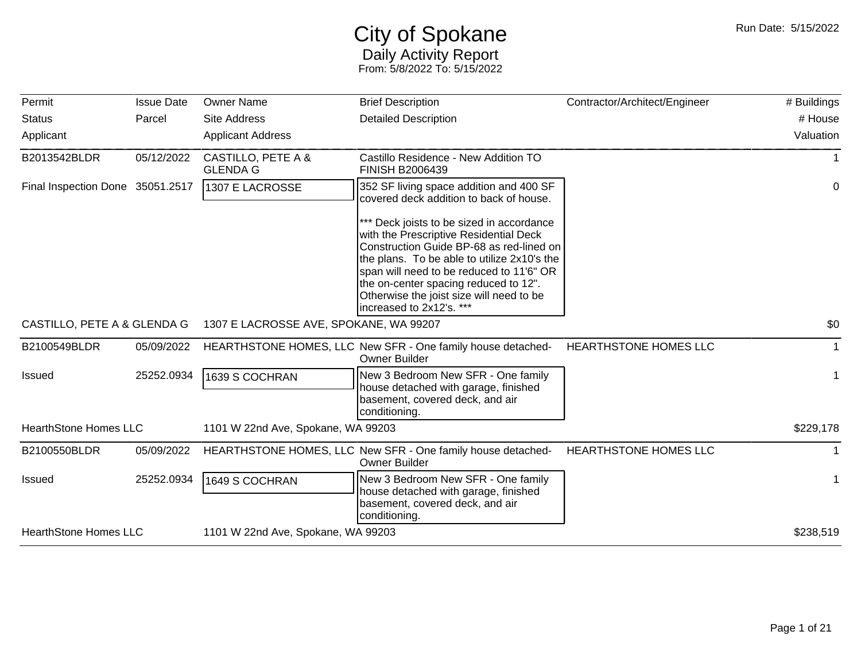## City of Spokane Daily Activity Report From: 5/8/2022 To: 5/15/2022

| Permit                           | <b>Issue Date</b> | <b>Owner Name</b>                      | <b>Brief Description</b>                                                                                                                                                                                                                                                                                                                    | Contractor/Architect/Engineer | # Buildings  |
|----------------------------------|-------------------|----------------------------------------|---------------------------------------------------------------------------------------------------------------------------------------------------------------------------------------------------------------------------------------------------------------------------------------------------------------------------------------------|-------------------------------|--------------|
| <b>Status</b>                    | Parcel            | <b>Site Address</b>                    | <b>Detailed Description</b>                                                                                                                                                                                                                                                                                                                 |                               | # House      |
| Applicant                        |                   | <b>Applicant Address</b>               |                                                                                                                                                                                                                                                                                                                                             |                               | Valuation    |
| B2013542BLDR                     | 05/12/2022        | CASTILLO, PETE A &<br><b>GLENDA G</b>  | Castillo Residence - New Addition TO<br><b>FINISH B2006439</b>                                                                                                                                                                                                                                                                              |                               |              |
| Final Inspection Done 35051.2517 |                   | 1307 E LACROSSE                        | 352 SF living space addition and 400 SF<br>covered deck addition to back of house.                                                                                                                                                                                                                                                          |                               | 0            |
|                                  |                   |                                        | *** Deck joists to be sized in accordance<br>with the Prescriptive Residential Deck<br>Construction Guide BP-68 as red-lined on<br>the plans. To be able to utilize 2x10's the<br>span will need to be reduced to 11'6" OR<br>the on-center spacing reduced to 12".<br>Otherwise the joist size will need to be<br>increased to 2x12's. *** |                               |              |
| CASTILLO, PETE A & GLENDA G      |                   | 1307 E LACROSSE AVE, SPOKANE, WA 99207 |                                                                                                                                                                                                                                                                                                                                             |                               | \$0          |
| B2100549BLDR                     | 05/09/2022        |                                        | HEARTHSTONE HOMES, LLC New SFR - One family house detached-<br><b>Owner Builder</b>                                                                                                                                                                                                                                                         | HEARTHSTONE HOMES LLC         | $\mathbf{1}$ |
| <b>Issued</b>                    | 25252.0934        | 1639 S COCHRAN                         | New 3 Bedroom New SFR - One family<br>house detached with garage, finished<br>basement, covered deck, and air<br>conditioning.                                                                                                                                                                                                              |                               | -1           |
| <b>HearthStone Homes LLC</b>     |                   | 1101 W 22nd Ave, Spokane, WA 99203     |                                                                                                                                                                                                                                                                                                                                             |                               | \$229,178    |
| B2100550BLDR                     | 05/09/2022        |                                        | HEARTHSTONE HOMES, LLC New SFR - One family house detached-<br>Owner Builder                                                                                                                                                                                                                                                                | HEARTHSTONE HOMES LLC         |              |
| Issued                           | 25252.0934        | 1649 S COCHRAN                         | New 3 Bedroom New SFR - One family<br>house detached with garage, finished<br>basement, covered deck, and air<br>conditioning.                                                                                                                                                                                                              |                               | $\mathbf 1$  |
| <b>HearthStone Homes LLC</b>     |                   | 1101 W 22nd Ave, Spokane, WA 99203     |                                                                                                                                                                                                                                                                                                                                             |                               | \$238,519    |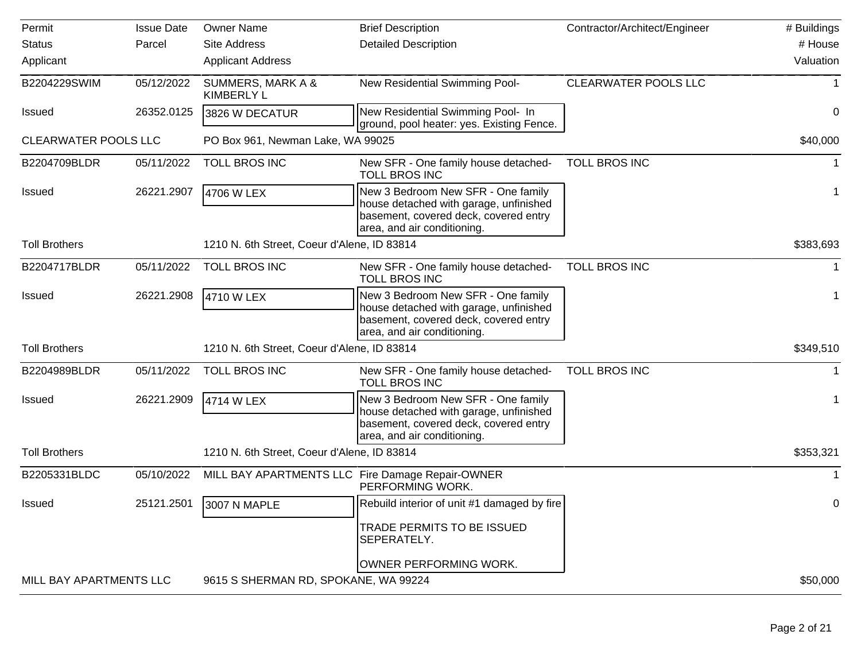| Permit                      | <b>Issue Date</b> | <b>Owner Name</b>                                | <b>Brief Description</b>                                                                                                                             | Contractor/Architect/Engineer | # Buildings |
|-----------------------------|-------------------|--------------------------------------------------|------------------------------------------------------------------------------------------------------------------------------------------------------|-------------------------------|-------------|
| <b>Status</b>               | Parcel            | Site Address                                     | <b>Detailed Description</b>                                                                                                                          |                               | # House     |
| Applicant                   |                   | <b>Applicant Address</b>                         |                                                                                                                                                      |                               | Valuation   |
| B2204229SWIM                | 05/12/2022        | SUMMERS, MARK A &<br><b>KIMBERLY L</b>           | New Residential Swimming Pool-                                                                                                                       | <b>CLEARWATER POOLS LLC</b>   |             |
| <b>Issued</b>               | 26352.0125        | 3826 W DECATUR                                   | New Residential Swimming Pool- In<br>ground, pool heater: yes. Existing Fence.                                                                       |                               | 0           |
| <b>CLEARWATER POOLS LLC</b> |                   | PO Box 961, Newman Lake, WA 99025                |                                                                                                                                                      |                               | \$40,000    |
| B2204709BLDR                | 05/11/2022        | TOLL BROS INC                                    | New SFR - One family house detached-<br><b>TOLL BROS INC</b>                                                                                         | <b>TOLL BROS INC</b>          |             |
| <b>Issued</b>               | 26221.2907        | 4706 W LEX                                       | New 3 Bedroom New SFR - One family<br>house detached with garage, unfinished<br>basement, covered deck, covered entry<br>area, and air conditioning. |                               | 1           |
| <b>Toll Brothers</b>        |                   | 1210 N. 6th Street, Coeur d'Alene, ID 83814      |                                                                                                                                                      |                               | \$383,693   |
| B2204717BLDR                | 05/11/2022        | TOLL BROS INC                                    | New SFR - One family house detached-<br><b>TOLL BROS INC</b>                                                                                         | <b>TOLL BROS INC</b>          |             |
| <b>Issued</b>               | 26221.2908        | 4710 W LEX                                       | New 3 Bedroom New SFR - One family<br>house detached with garage, unfinished<br>basement, covered deck, covered entry<br>area, and air conditioning. |                               |             |
| <b>Toll Brothers</b>        |                   | 1210 N. 6th Street, Coeur d'Alene, ID 83814      |                                                                                                                                                      |                               | \$349,510   |
| B2204989BLDR                | 05/11/2022        | TOLL BROS INC                                    | New SFR - One family house detached-<br><b>TOLL BROS INC</b>                                                                                         | <b>TOLL BROS INC</b>          |             |
| <b>Issued</b>               | 26221.2909        | 4714 W LEX                                       | New 3 Bedroom New SFR - One family<br>house detached with garage, unfinished<br>basement, covered deck, covered entry<br>area, and air conditioning. |                               |             |
| <b>Toll Brothers</b>        |                   | 1210 N. 6th Street, Coeur d'Alene, ID 83814      |                                                                                                                                                      |                               | \$353,321   |
| B2205331BLDC                | 05/10/2022        | MILL BAY APARTMENTS LLC Fire Damage Repair-OWNER | PERFORMING WORK.                                                                                                                                     |                               |             |
| Issued                      | 25121.2501        | 3007 N MAPLE                                     | Rebuild interior of unit #1 damaged by fire<br>TRADE PERMITS TO BE ISSUED<br>SEPERATELY.                                                             |                               | 0           |
| MILL BAY APARTMENTS LLC     |                   | 9615 S SHERMAN RD, SPOKANE, WA 99224             | OWNER PERFORMING WORK.                                                                                                                               |                               | \$50,000    |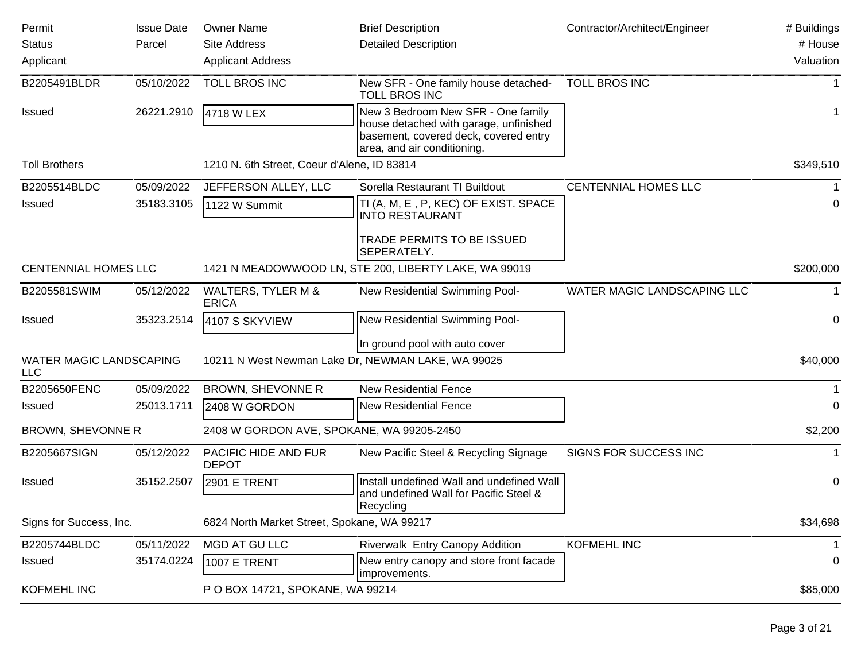| Permit                                | <b>Issue Date</b> | <b>Owner Name</b>                             | <b>Brief Description</b>                                                                                                                             | Contractor/Architect/Engineer | # Buildings |
|---------------------------------------|-------------------|-----------------------------------------------|------------------------------------------------------------------------------------------------------------------------------------------------------|-------------------------------|-------------|
| <b>Status</b>                         | Parcel            | <b>Site Address</b>                           | <b>Detailed Description</b>                                                                                                                          |                               | # House     |
| Applicant                             |                   | <b>Applicant Address</b>                      |                                                                                                                                                      |                               | Valuation   |
| B2205491BLDR                          | 05/10/2022        | TOLL BROS INC                                 | New SFR - One family house detached-<br><b>TOLL BROS INC</b>                                                                                         | <b>TOLL BROS INC</b>          |             |
| <b>Issued</b>                         | 26221.2910        | 4718 W LEX                                    | New 3 Bedroom New SFR - One family<br>house detached with garage, unfinished<br>basement, covered deck, covered entry<br>area, and air conditioning. |                               | 1           |
| <b>Toll Brothers</b>                  |                   | 1210 N. 6th Street, Coeur d'Alene, ID 83814   |                                                                                                                                                      |                               | \$349,510   |
| B2205514BLDC                          | 05/09/2022        | JEFFERSON ALLEY, LLC                          | Sorella Restaurant TI Buildout                                                                                                                       | <b>CENTENNIAL HOMES LLC</b>   |             |
| <b>Issued</b>                         | 35183.3105        | 1122 W Summit                                 | TI (A, M, E, P, KEC) OF EXIST. SPACE<br><b>INTO RESTAURANT</b>                                                                                       |                               | 0           |
|                                       |                   |                                               | TRADE PERMITS TO BE ISSUED<br>SEPERATELY.                                                                                                            |                               |             |
| <b>CENTENNIAL HOMES LLC</b>           |                   |                                               | 1421 N MEADOWWOOD LN, STE 200, LIBERTY LAKE, WA 99019                                                                                                |                               | \$200,000   |
| B2205581SWIM                          | 05/12/2022        | <b>WALTERS, TYLER M &amp;</b><br><b>ERICA</b> | New Residential Swimming Pool-                                                                                                                       | WATER MAGIC LANDSCAPING LLC   | 1           |
| <b>Issued</b>                         | 35323.2514        | 4107 S SKYVIEW                                | New Residential Swimming Pool-                                                                                                                       |                               | 0           |
|                                       |                   |                                               | In ground pool with auto cover                                                                                                                       |                               |             |
| WATER MAGIC LANDSCAPING<br><b>LLC</b> |                   |                                               | 10211 N West Newman Lake Dr, NEWMAN LAKE, WA 99025                                                                                                   |                               | \$40,000    |
| B2205650FENC                          | 05/09/2022        | BROWN, SHEVONNE R                             | <b>New Residential Fence</b>                                                                                                                         |                               |             |
| Issued                                | 25013.1711        | 2408 W GORDON                                 | <b>New Residential Fence</b>                                                                                                                         |                               | 0           |
| BROWN, SHEVONNE R                     |                   | 2408 W GORDON AVE, SPOKANE, WA 99205-2450     |                                                                                                                                                      |                               | \$2,200     |
| B2205667SIGN                          | 05/12/2022        | PACIFIC HIDE AND FUR<br><b>DEPOT</b>          | New Pacific Steel & Recycling Signage                                                                                                                | SIGNS FOR SUCCESS INC         | 1           |
| <b>Issued</b>                         | 35152.2507        | 2901 E TRENT                                  | Install undefined Wall and undefined Wall<br>and undefined Wall for Pacific Steel &                                                                  |                               | 0           |
| Signs for Success, Inc.               |                   | 6824 North Market Street, Spokane, WA 99217   | Recycling                                                                                                                                            |                               | \$34,698    |
|                                       |                   |                                               |                                                                                                                                                      |                               |             |
| B2205744BLDC                          | 05/11/2022        | MGD AT GU LLC                                 | Riverwalk Entry Canopy Addition                                                                                                                      | KOFMEHL INC                   | 1           |
| <b>Issued</b>                         | 35174.0224        | 1007 E TRENT                                  | New entry canopy and store front facade<br>improvements.                                                                                             |                               | 0           |
| <b>KOFMEHL INC</b>                    |                   | P O BOX 14721, SPOKANE, WA 99214              |                                                                                                                                                      |                               | \$85,000    |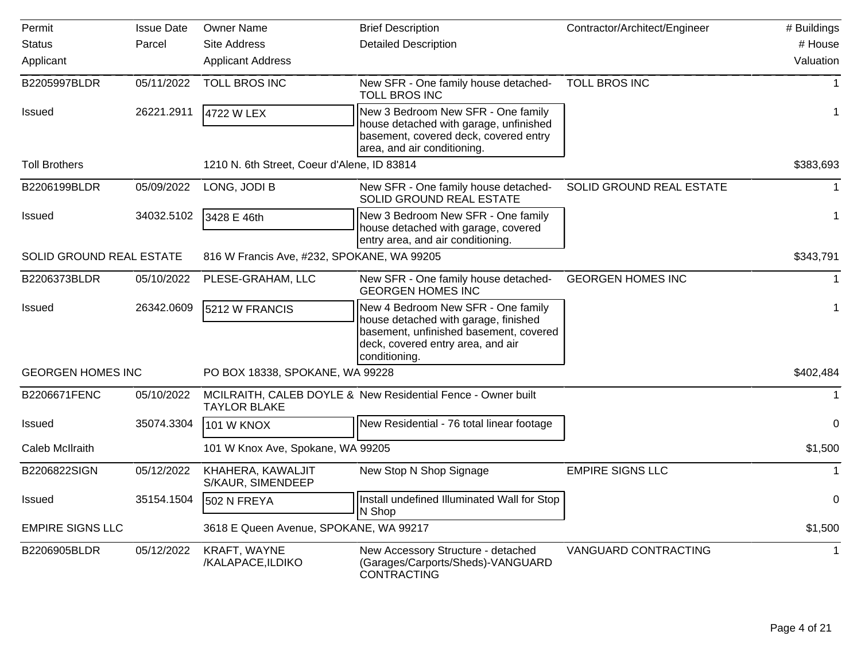| Permit                   | <b>Issue Date</b> | <b>Owner Name</b>                           | <b>Brief Description</b>                                                                                                                                                   | Contractor/Architect/Engineer | # Buildings |
|--------------------------|-------------------|---------------------------------------------|----------------------------------------------------------------------------------------------------------------------------------------------------------------------------|-------------------------------|-------------|
| <b>Status</b>            | Parcel            | <b>Site Address</b>                         | <b>Detailed Description</b>                                                                                                                                                |                               | # House     |
| Applicant                |                   | <b>Applicant Address</b>                    |                                                                                                                                                                            |                               | Valuation   |
| B2205997BLDR             | 05/11/2022        | <b>TOLL BROS INC</b>                        | New SFR - One family house detached-<br><b>TOLL BROS INC</b>                                                                                                               | <b>TOLL BROS INC</b>          | $\mathbf 1$ |
| <b>Issued</b>            | 26221.2911        | 4722 W LEX                                  | New 3 Bedroom New SFR - One family<br>house detached with garage, unfinished<br>basement, covered deck, covered entry<br>area, and air conditioning.                       |                               | 1           |
| <b>Toll Brothers</b>     |                   | 1210 N. 6th Street, Coeur d'Alene, ID 83814 |                                                                                                                                                                            |                               | \$383,693   |
| B2206199BLDR             | 05/09/2022        | LONG, JODI B                                | New SFR - One family house detached-<br>SOLID GROUND REAL ESTATE                                                                                                           | SOLID GROUND REAL ESTATE      | 1           |
| <b>Issued</b>            | 34032.5102        | 3428 E 46th                                 | New 3 Bedroom New SFR - One family<br>house detached with garage, covered<br>entry area, and air conditioning.                                                             |                               | 1           |
| SOLID GROUND REAL ESTATE |                   | 816 W Francis Ave, #232, SPOKANE, WA 99205  |                                                                                                                                                                            |                               | \$343,791   |
| B2206373BLDR             | 05/10/2022        | PLESE-GRAHAM, LLC                           | New SFR - One family house detached-<br><b>GEORGEN HOMES INC</b>                                                                                                           | <b>GEORGEN HOMES INC</b>      | $\mathbf 1$ |
| <b>Issued</b>            | 26342.0609        | 5212 W FRANCIS                              | New 4 Bedroom New SFR - One family<br>house detached with garage, finished<br>basement, unfinished basement, covered<br>deck, covered entry area, and air<br>conditioning. |                               | 1           |
| <b>GEORGEN HOMES INC</b> |                   | PO BOX 18338, SPOKANE, WA 99228             |                                                                                                                                                                            |                               | \$402,484   |
| B2206671FENC             | 05/10/2022        | <b>TAYLOR BLAKE</b>                         | MCILRAITH, CALEB DOYLE & New Residential Fence - Owner built                                                                                                               |                               |             |
| Issued                   | 35074.3304        | 101 W KNOX                                  | New Residential - 76 total linear footage                                                                                                                                  |                               | 0           |
| Caleb McIlraith          |                   | 101 W Knox Ave, Spokane, WA 99205           |                                                                                                                                                                            |                               | \$1,500     |
| B2206822SIGN             | 05/12/2022        | KHAHERA, KAWALJIT<br>S/KAUR, SIMENDEEP      | New Stop N Shop Signage                                                                                                                                                    | <b>EMPIRE SIGNS LLC</b>       | 1           |
| <b>Issued</b>            | 35154.1504        | 502 N FREYA                                 | Install undefined Illuminated Wall for Stop<br>N Shop                                                                                                                      |                               | 0           |
| <b>EMPIRE SIGNS LLC</b>  |                   | 3618 E Queen Avenue, SPOKANE, WA 99217      |                                                                                                                                                                            |                               | \$1,500     |
| B2206905BLDR             | 05/12/2022        | KRAFT, WAYNE<br>/KALAPACE, ILDIKO           | New Accessory Structure - detached<br>(Garages/Carports/Sheds)-VANGUARD<br>CONTRACTING                                                                                     | VANGUARD CONTRACTING          | 1           |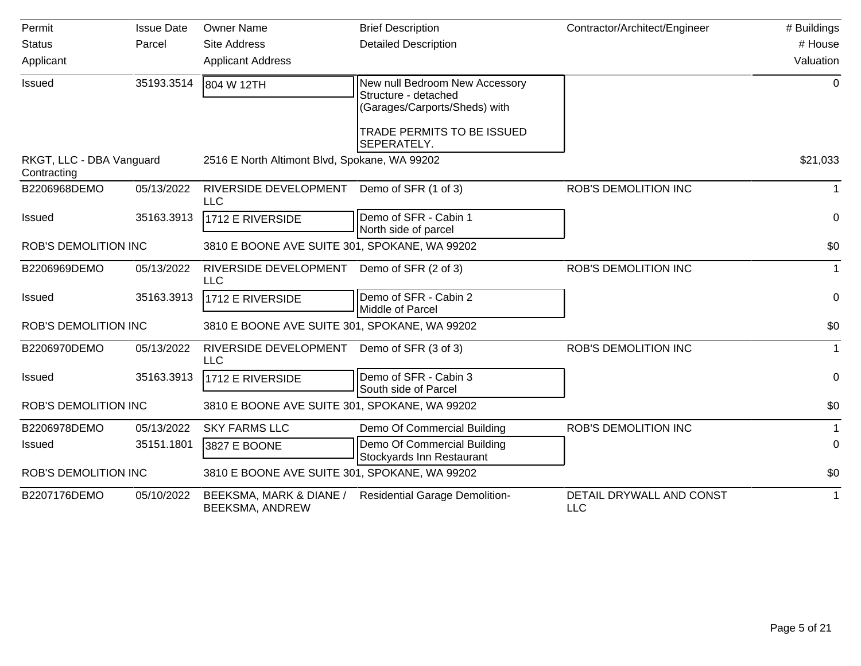| Permit                                  | <b>Issue Date</b> | <b>Owner Name</b>                                        | <b>Brief Description</b>                                                                | Contractor/Architect/Engineer          | # Buildings  |
|-----------------------------------------|-------------------|----------------------------------------------------------|-----------------------------------------------------------------------------------------|----------------------------------------|--------------|
| <b>Status</b>                           | Parcel            | <b>Site Address</b>                                      | <b>Detailed Description</b>                                                             |                                        | # House      |
| Applicant                               |                   | <b>Applicant Address</b>                                 |                                                                                         |                                        | Valuation    |
| Issued                                  | 35193.3514        | 804 W 12TH                                               | New null Bedroom New Accessory<br>Structure - detached<br>(Garages/Carports/Sheds) with |                                        | 0            |
|                                         |                   |                                                          | TRADE PERMITS TO BE ISSUED<br>SEPERATELY.                                               |                                        |              |
| RKGT, LLC - DBA Vanguard<br>Contracting |                   | 2516 E North Altimont Blvd, Spokane, WA 99202            |                                                                                         |                                        | \$21,033     |
| B2206968DEMO                            | 05/13/2022        | RIVERSIDE DEVELOPMENT Demo of SFR (1 of 3)<br><b>LLC</b> |                                                                                         | <b>ROB'S DEMOLITION INC</b>            | $\mathbf{1}$ |
| <b>Issued</b>                           | 35163.3913        | 1712 E RIVERSIDE                                         | Demo of SFR - Cabin 1<br>North side of parcel                                           |                                        | 0            |
| <b>ROB'S DEMOLITION INC</b>             |                   | 3810 E BOONE AVE SUITE 301, SPOKANE, WA 99202            |                                                                                         |                                        | \$0          |
| B2206969DEMO                            | 05/13/2022        | RIVERSIDE DEVELOPMENT<br><b>LLC</b>                      | Demo of SFR (2 of 3)                                                                    | <b>ROB'S DEMOLITION INC</b>            | $\mathbf{1}$ |
| <b>Issued</b>                           | 35163.3913        | 1712 E RIVERSIDE                                         | Demo of SFR - Cabin 2<br>Middle of Parcel                                               |                                        | $\mathbf 0$  |
| <b>ROB'S DEMOLITION INC</b>             |                   | 3810 E BOONE AVE SUITE 301, SPOKANE, WA 99202            |                                                                                         |                                        | \$0          |
| B2206970DEMO                            | 05/13/2022        | RIVERSIDE DEVELOPMENT<br><b>LLC</b>                      | Demo of SFR (3 of 3)                                                                    | <b>ROB'S DEMOLITION INC</b>            | 1            |
| <b>Issued</b>                           | 35163.3913        | 1712 E RIVERSIDE                                         | Demo of SFR - Cabin 3<br>South side of Parcel                                           |                                        | 0            |
| <b>ROB'S DEMOLITION INC</b>             |                   | 3810 E BOONE AVE SUITE 301, SPOKANE, WA 99202            |                                                                                         |                                        | \$0          |
| B2206978DEMO                            | 05/13/2022        | <b>SKY FARMS LLC</b>                                     | Demo Of Commercial Building                                                             | <b>ROB'S DEMOLITION INC</b>            | 1            |
| Issued                                  | 35151.1801        | 3827 E BOONE                                             | Demo Of Commercial Building<br>Stockyards Inn Restaurant                                |                                        | $\mathbf 0$  |
| <b>ROB'S DEMOLITION INC</b>             |                   | 3810 E BOONE AVE SUITE 301, SPOKANE, WA 99202            |                                                                                         |                                        | \$0          |
| B2207176DEMO                            | 05/10/2022        | BEEKSMA, MARK & DIANE /<br>BEEKSMA, ANDREW               | <b>Residential Garage Demolition-</b>                                                   | DETAIL DRYWALL AND CONST<br><b>LLC</b> | 1            |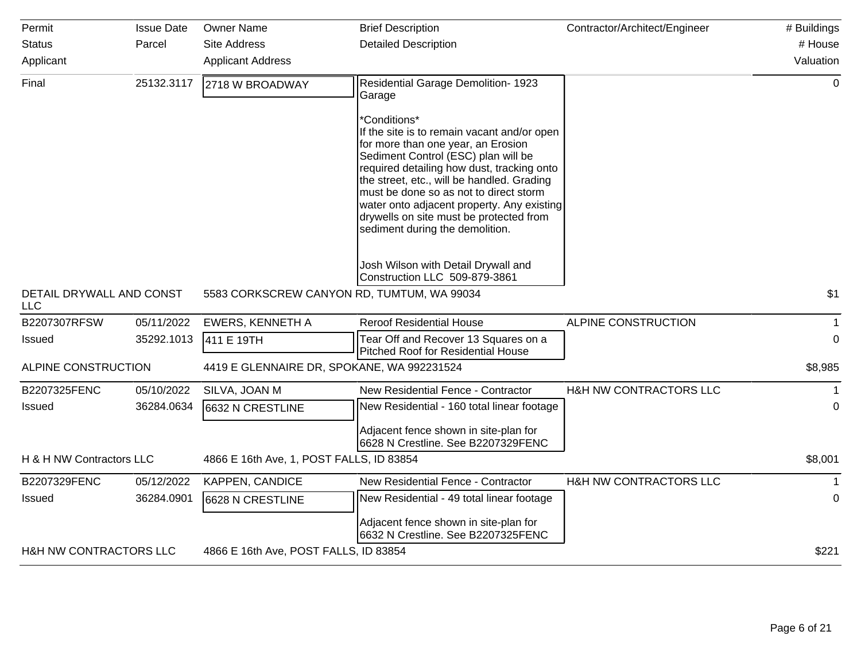| Permit                                 | <b>Issue Date</b> | <b>Owner Name</b>                          | <b>Brief Description</b>                                                                                                                                                                                                                                                                                                                                                                                   | Contractor/Architect/Engineer | # Buildings  |
|----------------------------------------|-------------------|--------------------------------------------|------------------------------------------------------------------------------------------------------------------------------------------------------------------------------------------------------------------------------------------------------------------------------------------------------------------------------------------------------------------------------------------------------------|-------------------------------|--------------|
| <b>Status</b>                          | Parcel            | <b>Site Address</b>                        | <b>Detailed Description</b>                                                                                                                                                                                                                                                                                                                                                                                |                               | # House      |
| Applicant                              |                   | <b>Applicant Address</b>                   |                                                                                                                                                                                                                                                                                                                                                                                                            |                               | Valuation    |
| Final                                  | 25132.3117        | 2718 W BROADWAY                            | Residential Garage Demolition- 1923<br>Garage                                                                                                                                                                                                                                                                                                                                                              |                               | $\mathbf 0$  |
|                                        |                   |                                            | *Conditions*<br>If the site is to remain vacant and/or open<br>for more than one year, an Erosion<br>Sediment Control (ESC) plan will be<br>required detailing how dust, tracking onto<br>the street, etc., will be handled. Grading<br>must be done so as not to direct storm<br>water onto adjacent property. Any existing<br>drywells on site must be protected from<br>sediment during the demolition. |                               |              |
|                                        |                   |                                            | Josh Wilson with Detail Drywall and<br>Construction LLC 509-879-3861                                                                                                                                                                                                                                                                                                                                       |                               |              |
| DETAIL DRYWALL AND CONST<br><b>LLC</b> |                   | 5583 CORKSCREW CANYON RD, TUMTUM, WA 99034 |                                                                                                                                                                                                                                                                                                                                                                                                            |                               | \$1          |
| B2207307RFSW                           | 05/11/2022        | <b>EWERS, KENNETH A</b>                    | <b>Reroof Residential House</b>                                                                                                                                                                                                                                                                                                                                                                            | ALPINE CONSTRUCTION           | $\mathbf{1}$ |
| Issued                                 | 35292.1013        | 411 E 19TH                                 | Tear Off and Recover 13 Squares on a<br>Pitched Roof for Residential House                                                                                                                                                                                                                                                                                                                                 |                               | 0            |
| ALPINE CONSTRUCTION                    |                   | 4419 E GLENNAIRE DR, SPOKANE, WA 992231524 |                                                                                                                                                                                                                                                                                                                                                                                                            |                               | \$8,985      |
| B2207325FENC                           | 05/10/2022        | SILVA, JOAN M                              | New Residential Fence - Contractor                                                                                                                                                                                                                                                                                                                                                                         | H&H NW CONTRACTORS LLC        | $\mathbf 1$  |
| <b>Issued</b>                          | 36284.0634        | 6632 N CRESTLINE                           | New Residential - 160 total linear footage                                                                                                                                                                                                                                                                                                                                                                 |                               | $\mathbf{0}$ |
|                                        |                   |                                            | Adjacent fence shown in site-plan for<br>6628 N Crestline. See B2207329FENC                                                                                                                                                                                                                                                                                                                                |                               |              |
| H & H NW Contractors LLC               |                   | 4866 E 16th Ave, 1, POST FALLS, ID 83854   |                                                                                                                                                                                                                                                                                                                                                                                                            |                               | \$8,001      |
| B2207329FENC                           | 05/12/2022        | KAPPEN, CANDICE                            | New Residential Fence - Contractor                                                                                                                                                                                                                                                                                                                                                                         | H&H NW CONTRACTORS LLC        | 1            |
| <b>Issued</b>                          | 36284.0901        | 6628 N CRESTLINE                           | New Residential - 49 total linear footage                                                                                                                                                                                                                                                                                                                                                                  |                               | 0            |
|                                        |                   |                                            | Adjacent fence shown in site-plan for<br>6632 N Crestline. See B2207325FENC                                                                                                                                                                                                                                                                                                                                |                               |              |
| H&H NW CONTRACTORS LLC                 |                   | 4866 E 16th Ave, POST FALLS, ID 83854      |                                                                                                                                                                                                                                                                                                                                                                                                            |                               | \$221        |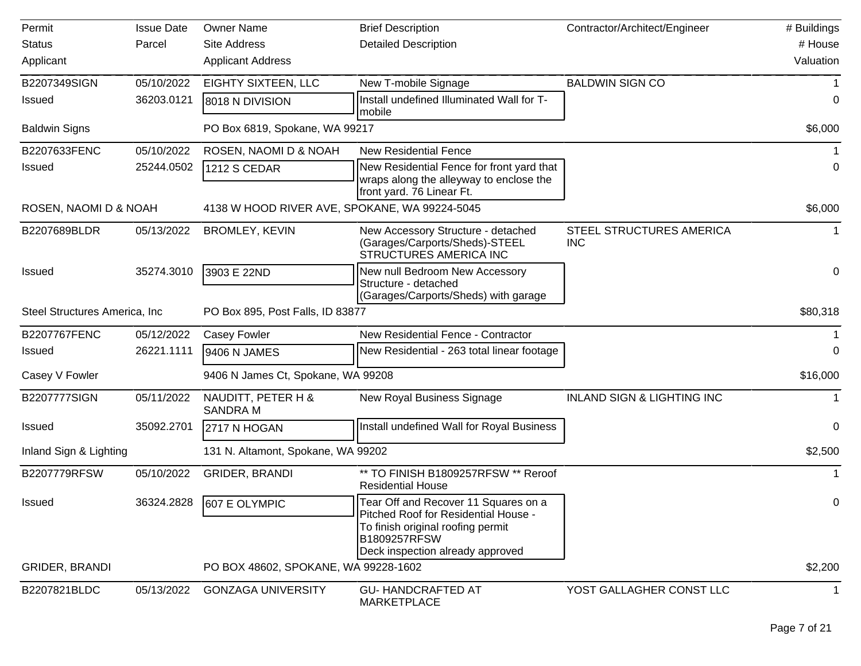| Permit                         | <b>Issue Date</b> | <b>Owner Name</b>                             | <b>Brief Description</b>                                                                                                                                              | Contractor/Architect/Engineer          | # Buildings |
|--------------------------------|-------------------|-----------------------------------------------|-----------------------------------------------------------------------------------------------------------------------------------------------------------------------|----------------------------------------|-------------|
| <b>Status</b>                  | Parcel            | Site Address                                  | <b>Detailed Description</b>                                                                                                                                           |                                        | # House     |
| Applicant                      |                   | <b>Applicant Address</b>                      |                                                                                                                                                                       |                                        | Valuation   |
| B2207349SIGN                   | 05/10/2022        | <b>EIGHTY SIXTEEN, LLC</b>                    | New T-mobile Signage                                                                                                                                                  | <b>BALDWIN SIGN CO</b>                 |             |
| <b>Issued</b>                  | 36203.0121        | 8018 N DIVISION                               | Install undefined Illuminated Wall for T-<br>mobile                                                                                                                   |                                        | 0           |
| <b>Baldwin Signs</b>           |                   | PO Box 6819, Spokane, WA 99217                |                                                                                                                                                                       |                                        | \$6,000     |
| B2207633FENC                   | 05/10/2022        | ROSEN, NAOMI D & NOAH                         | <b>New Residential Fence</b>                                                                                                                                          |                                        |             |
| <b>Issued</b>                  | 25244.0502        | <b>1212 S CEDAR</b>                           | New Residential Fence for front yard that<br>wraps along the alleyway to enclose the<br>front yard. 76 Linear Ft.                                                     |                                        | 0           |
| ROSEN, NAOMI D & NOAH          |                   | 4138 W HOOD RIVER AVE, SPOKANE, WA 99224-5045 |                                                                                                                                                                       |                                        | \$6,000     |
| B2207689BLDR                   | 05/13/2022        | <b>BROMLEY, KEVIN</b>                         | New Accessory Structure - detached<br>(Garages/Carports/Sheds)-STEEL<br><b>STRUCTURES AMERICA INC</b>                                                                 | STEEL STRUCTURES AMERICA<br><b>INC</b> |             |
| <b>Issued</b>                  | 35274.3010        | 3903 E 22ND                                   | New null Bedroom New Accessory<br>Structure - detached<br>(Garages/Carports/Sheds) with garage                                                                        |                                        | $\pmb{0}$   |
| Steel Structures America, Inc. |                   | PO Box 895, Post Falls, ID 83877              |                                                                                                                                                                       |                                        | \$80,318    |
| B2207767FENC                   | 05/12/2022        | Casey Fowler                                  | New Residential Fence - Contractor                                                                                                                                    |                                        |             |
| <b>Issued</b>                  | 26221.1111        | 9406 N JAMES                                  | New Residential - 263 total linear footage                                                                                                                            |                                        | $\Omega$    |
| Casey V Fowler                 |                   | 9406 N James Ct, Spokane, WA 99208            |                                                                                                                                                                       |                                        | \$16,000    |
| <b>B2207777SIGN</b>            | 05/11/2022        | NAUDITT, PETER H &<br><b>SANDRA M</b>         | New Royal Business Signage                                                                                                                                            | <b>INLAND SIGN &amp; LIGHTING INC</b>  |             |
| <b>Issued</b>                  | 35092.2701        | 2717 N HOGAN                                  | Install undefined Wall for Royal Business                                                                                                                             |                                        | 0           |
| Inland Sign & Lighting         |                   | 131 N. Altamont, Spokane, WA 99202            |                                                                                                                                                                       |                                        | \$2,500     |
| B2207779RFSW                   | 05/10/2022        | <b>GRIDER, BRANDI</b>                         | ** TO FINISH B1809257RFSW ** Reroof<br><b>Residential House</b>                                                                                                       |                                        |             |
| Issued                         | 36324.2828        | 607 E OLYMPIC                                 | Tear Off and Recover 11 Squares on a<br>Pitched Roof for Residential House -<br>To finish original roofing permit<br>B1809257RFSW<br>Deck inspection already approved |                                        | 0           |
| <b>GRIDER, BRANDI</b>          |                   | PO BOX 48602, SPOKANE, WA 99228-1602          |                                                                                                                                                                       |                                        | \$2,200     |
| B2207821BLDC                   | 05/13/2022        | <b>GONZAGA UNIVERSITY</b>                     | <b>GU-HANDCRAFTED AT</b><br>MARKETPLACE                                                                                                                               | YOST GALLAGHER CONST LLC               |             |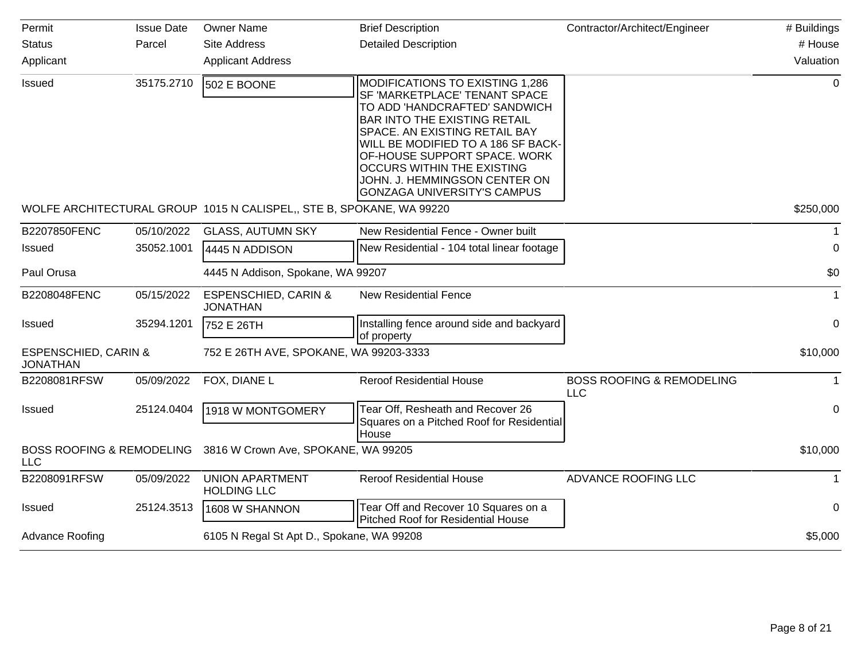| Permit                                             | <b>Issue Date</b> | <b>Owner Name</b>                                                    | <b>Brief Description</b>                                                                                                                                                                                                                                                                                                                                    | Contractor/Architect/Engineer               | # Buildings |
|----------------------------------------------------|-------------------|----------------------------------------------------------------------|-------------------------------------------------------------------------------------------------------------------------------------------------------------------------------------------------------------------------------------------------------------------------------------------------------------------------------------------------------------|---------------------------------------------|-------------|
| <b>Status</b>                                      | Parcel            | <b>Site Address</b>                                                  | <b>Detailed Description</b>                                                                                                                                                                                                                                                                                                                                 |                                             | # House     |
| Applicant                                          |                   | <b>Applicant Address</b>                                             |                                                                                                                                                                                                                                                                                                                                                             |                                             | Valuation   |
| Issued                                             | 35175.2710        | 502 E BOONE                                                          | MODIFICATIONS TO EXISTING 1,286<br>SF 'MARKETPLACE' TENANT SPACE<br>TO ADD 'HANDCRAFTED' SANDWICH<br><b>BAR INTO THE EXISTING RETAIL</b><br>SPACE. AN EXISTING RETAIL BAY<br>WILL BE MODIFIED TO A 186 SF BACK-<br>OF-HOUSE SUPPORT SPACE. WORK<br><b>OCCURS WITHIN THE EXISTING</b><br>JOHN. J. HEMMINGSON CENTER ON<br><b>GONZAGA UNIVERSITY'S CAMPUS</b> |                                             | $\mathbf 0$ |
|                                                    |                   | WOLFE ARCHITECTURAL GROUP 1015 N CALISPEL,, STE B, SPOKANE, WA 99220 |                                                                                                                                                                                                                                                                                                                                                             |                                             | \$250,000   |
| B2207850FENC                                       | 05/10/2022        | <b>GLASS, AUTUMN SKY</b>                                             | New Residential Fence - Owner built                                                                                                                                                                                                                                                                                                                         |                                             | 1           |
| <b>Issued</b>                                      | 35052.1001        | 4445 N ADDISON                                                       | New Residential - 104 total linear footage                                                                                                                                                                                                                                                                                                                  |                                             | 0           |
| Paul Orusa                                         |                   | 4445 N Addison, Spokane, WA 99207                                    |                                                                                                                                                                                                                                                                                                                                                             |                                             | \$0         |
| B2208048FENC                                       | 05/15/2022        | <b>ESPENSCHIED, CARIN &amp;</b><br><b>JONATHAN</b>                   | <b>New Residential Fence</b>                                                                                                                                                                                                                                                                                                                                |                                             | 1           |
| Issued                                             | 35294.1201        | 752 E 26TH                                                           | Installing fence around side and backyard<br>of property                                                                                                                                                                                                                                                                                                    |                                             | 0           |
| <b>ESPENSCHIED, CARIN &amp;</b><br><b>JONATHAN</b> |                   | 752 E 26TH AVE, SPOKANE, WA 99203-3333                               |                                                                                                                                                                                                                                                                                                                                                             |                                             | \$10,000    |
| B2208081RFSW                                       | 05/09/2022        | FOX, DIANE L                                                         | <b>Reroof Residential House</b>                                                                                                                                                                                                                                                                                                                             | <b>BOSS ROOFING &amp; REMODELING</b><br>LLC | 1           |
| Issued                                             | 25124.0404        | 1918 W MONTGOMERY                                                    | Tear Off, Resheath and Recover 26<br>Squares on a Pitched Roof for Residential<br>House                                                                                                                                                                                                                                                                     |                                             | 0           |
| <b>BOSS ROOFING &amp; REMODELING</b><br><b>LLC</b> |                   | 3816 W Crown Ave, SPOKANE, WA 99205                                  |                                                                                                                                                                                                                                                                                                                                                             |                                             | \$10,000    |
| B2208091RFSW                                       | 05/09/2022        | <b>UNION APARTMENT</b><br><b>HOLDING LLC</b>                         | <b>Reroof Residential House</b>                                                                                                                                                                                                                                                                                                                             | ADVANCE ROOFING LLC                         | 1           |
| <b>Issued</b>                                      | 25124.3513        | 1608 W SHANNON                                                       | Tear Off and Recover 10 Squares on a<br>Pitched Roof for Residential House                                                                                                                                                                                                                                                                                  |                                             | 0           |
| <b>Advance Roofing</b>                             |                   | 6105 N Regal St Apt D., Spokane, WA 99208                            |                                                                                                                                                                                                                                                                                                                                                             |                                             | \$5,000     |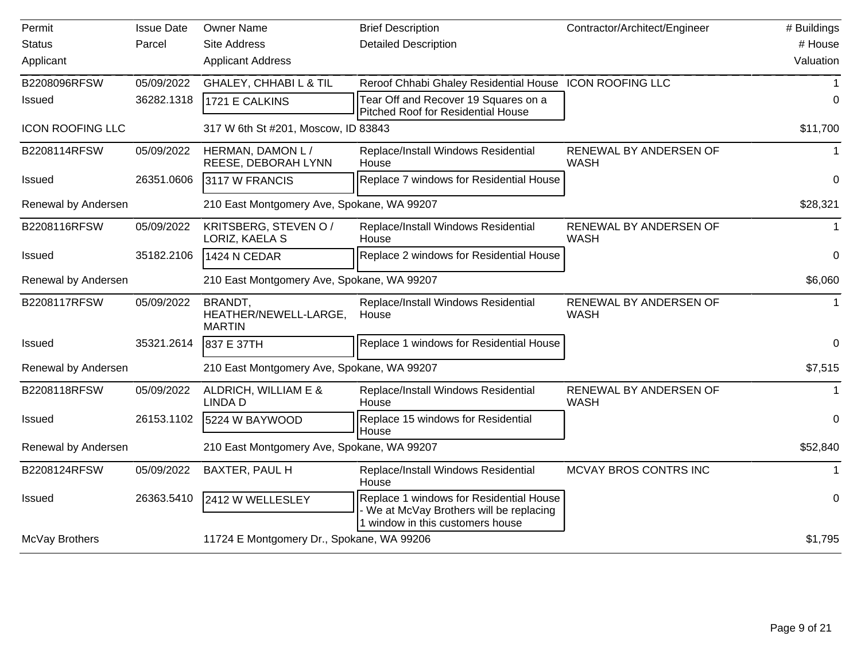| Permit                  | <b>Issue Date</b> | <b>Owner Name</b>                                 | <b>Brief Description</b>                                                                                              | Contractor/Architect/Engineer         | # Buildings |
|-------------------------|-------------------|---------------------------------------------------|-----------------------------------------------------------------------------------------------------------------------|---------------------------------------|-------------|
| <b>Status</b>           | Parcel            | <b>Site Address</b>                               | <b>Detailed Description</b>                                                                                           |                                       | # House     |
| Applicant               |                   | <b>Applicant Address</b>                          |                                                                                                                       |                                       | Valuation   |
| B2208096RFSW            | 05/09/2022        | <b>GHALEY, CHHABIL &amp; TIL</b>                  | Reroof Chhabi Ghaley Residential House ICON ROOFING LLC                                                               |                                       |             |
| <b>Issued</b>           | 36282.1318        | 1721 E CALKINS                                    | Tear Off and Recover 19 Squares on a<br><b>Pitched Roof for Residential House</b>                                     |                                       | 0           |
| <b>ICON ROOFING LLC</b> |                   | 317 W 6th St #201, Moscow, ID 83843               |                                                                                                                       |                                       | \$11,700    |
| B2208114RFSW            | 05/09/2022        | HERMAN, DAMON L/<br>REESE, DEBORAH LYNN           | Replace/Install Windows Residential<br>House                                                                          | RENEWAL BY ANDERSEN OF<br><b>WASH</b> | $\mathbf 1$ |
| <b>Issued</b>           | 26351.0606        | 3117 W FRANCIS                                    | Replace 7 windows for Residential House                                                                               |                                       | 0           |
| Renewal by Andersen     |                   | 210 East Montgomery Ave, Spokane, WA 99207        |                                                                                                                       |                                       | \$28,321    |
| B2208116RFSW            | 05/09/2022        | KRITSBERG, STEVEN O /<br>LORIZ, KAELA S           | Replace/Install Windows Residential<br>House                                                                          | RENEWAL BY ANDERSEN OF<br><b>WASH</b> | -1          |
| <b>Issued</b>           | 35182.2106        | 1424 N CEDAR                                      | Replace 2 windows for Residential House                                                                               |                                       | 0           |
| Renewal by Andersen     |                   | 210 East Montgomery Ave, Spokane, WA 99207        |                                                                                                                       |                                       | \$6,060     |
| B2208117RFSW            | 05/09/2022        | BRANDT,<br>HEATHER/NEWELL-LARGE,<br><b>MARTIN</b> | Replace/Install Windows Residential<br>House                                                                          | RENEWAL BY ANDERSEN OF<br><b>WASH</b> |             |
| <b>Issued</b>           | 35321.2614        | 837 E 37TH                                        | Replace 1 windows for Residential House                                                                               |                                       | 0           |
| Renewal by Andersen     |                   | 210 East Montgomery Ave, Spokane, WA 99207        |                                                                                                                       |                                       | \$7,515     |
| B2208118RFSW            | 05/09/2022        | ALDRICH, WILLIAM E &<br><b>LINDAD</b>             | Replace/Install Windows Residential<br>House                                                                          | RENEWAL BY ANDERSEN OF<br><b>WASH</b> |             |
| <b>Issued</b>           | 26153.1102        | 5224 W BAYWOOD                                    | Replace 15 windows for Residential<br>House                                                                           |                                       | 0           |
| Renewal by Andersen     |                   | 210 East Montgomery Ave, Spokane, WA 99207        |                                                                                                                       |                                       | \$52,840    |
| B2208124RFSW            | 05/09/2022        | BAXTER, PAUL H                                    | Replace/Install Windows Residential<br>House                                                                          | MCVAY BROS CONTRS INC                 | $\mathbf 1$ |
| <b>Issued</b>           | 26363.5410        | 2412 W WELLESLEY                                  | Replace 1 windows for Residential House<br>We at McVay Brothers will be replacing<br>1 window in this customers house |                                       | 0           |
| McVay Brothers          |                   | 11724 E Montgomery Dr., Spokane, WA 99206         |                                                                                                                       |                                       | \$1,795     |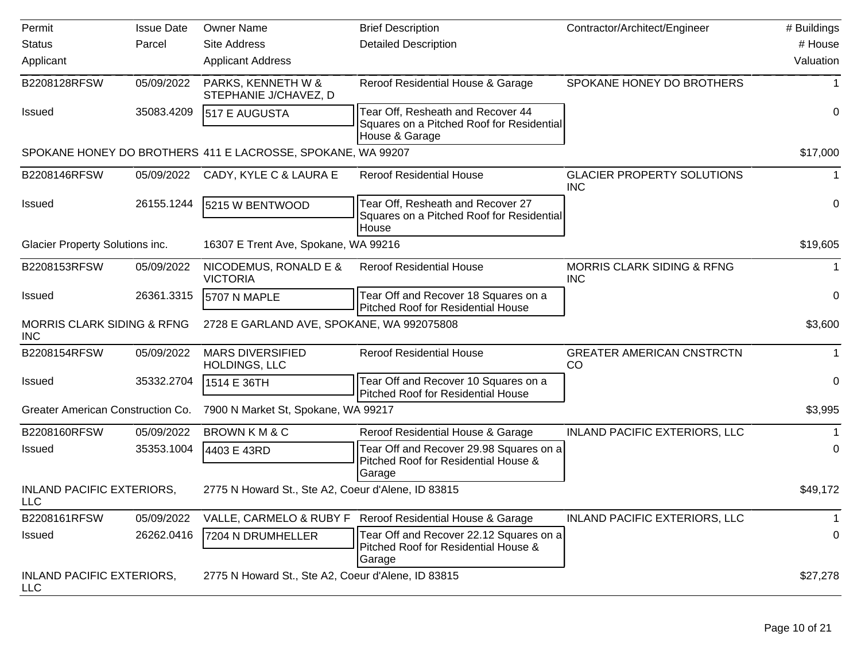| Permit                                              | <b>Issue Date</b> | <b>Owner Name</b>                                           | <b>Brief Description</b>                                                                         | Contractor/Architect/Engineer                       | # Buildings |
|-----------------------------------------------------|-------------------|-------------------------------------------------------------|--------------------------------------------------------------------------------------------------|-----------------------------------------------------|-------------|
| <b>Status</b>                                       | Parcel            | <b>Site Address</b>                                         | <b>Detailed Description</b>                                                                      |                                                     | # House     |
| Applicant                                           |                   | <b>Applicant Address</b>                                    |                                                                                                  |                                                     | Valuation   |
| B2208128RFSW                                        | 05/09/2022        | PARKS, KENNETH W &<br>STEPHANIE J/CHAVEZ, D                 | Reroof Residential House & Garage                                                                | SPOKANE HONEY DO BROTHERS                           |             |
| Issued                                              | 35083.4209        | 517 E AUGUSTA                                               | Tear Off, Resheath and Recover 44<br>Squares on a Pitched Roof for Residential<br>House & Garage |                                                     | 0           |
|                                                     |                   | SPOKANE HONEY DO BROTHERS 411 E LACROSSE, SPOKANE, WA 99207 |                                                                                                  |                                                     | \$17,000    |
| B2208146RFSW                                        | 05/09/2022        | CADY, KYLE C & LAURA E                                      | <b>Reroof Residential House</b>                                                                  | <b>GLACIER PROPERTY SOLUTIONS</b><br><b>INC</b>     |             |
| Issued                                              | 26155.1244        | 5215 W BENTWOOD                                             | Tear Off, Resheath and Recover 27<br>Squares on a Pitched Roof for Residential<br>House          |                                                     | 0           |
| Glacier Property Solutions inc.                     |                   | 16307 E Trent Ave, Spokane, WA 99216                        |                                                                                                  |                                                     | \$19,605    |
| B2208153RFSW                                        | 05/09/2022        | NICODEMUS, RONALD E &<br><b>VICTORIA</b>                    | <b>Reroof Residential House</b>                                                                  | <b>MORRIS CLARK SIDING &amp; RFNG</b><br><b>INC</b> |             |
| Issued                                              | 26361.3315        | 5707 N MAPLE                                                | Tear Off and Recover 18 Squares on a<br><b>Pitched Roof for Residential House</b>                |                                                     | 0           |
| <b>MORRIS CLARK SIDING &amp; RFNG</b><br><b>INC</b> |                   | 2728 E GARLAND AVE, SPOKANE, WA 992075808                   |                                                                                                  |                                                     | \$3,600     |
| B2208154RFSW                                        | 05/09/2022        | <b>MARS DIVERSIFIED</b><br><b>HOLDINGS, LLC</b>             | <b>Reroof Residential House</b>                                                                  | <b>GREATER AMERICAN CNSTRCTN</b><br>CO              |             |
| Issued                                              | 35332.2704        | 1514 E 36TH                                                 | Tear Off and Recover 10 Squares on a<br><b>Pitched Roof for Residential House</b>                |                                                     | 0           |
| Greater American Construction Co.                   |                   | 7900 N Market St, Spokane, WA 99217                         |                                                                                                  |                                                     | \$3,995     |
| B2208160RFSW                                        | 05/09/2022        | BROWN KM & C                                                | Reroof Residential House & Garage                                                                | <b>INLAND PACIFIC EXTERIORS, LLC</b>                |             |
| Issued                                              | 35353.1004        | 4403 E 43RD                                                 | Tear Off and Recover 29.98 Squares on a<br>Pitched Roof for Residential House &<br>Garage        |                                                     | 0           |
| <b>INLAND PACIFIC EXTERIORS,</b><br><b>LLC</b>      |                   | 2775 N Howard St., Ste A2, Coeur d'Alene, ID 83815          |                                                                                                  |                                                     | \$49,172    |
| B2208161RFSW                                        | 05/09/2022        | VALLE, CARMELO & RUBY F                                     | Reroof Residential House & Garage                                                                | <b>INLAND PACIFIC EXTERIORS, LLC</b>                | 1           |
| Issued                                              | 26262.0416        | 7204 N DRUMHELLER                                           | Tear Off and Recover 22.12 Squares on a<br>Pitched Roof for Residential House &<br>Garage        |                                                     | 0           |
| <b>INLAND PACIFIC EXTERIORS,</b><br><b>LLC</b>      |                   | 2775 N Howard St., Ste A2, Coeur d'Alene, ID 83815          |                                                                                                  |                                                     | \$27,278    |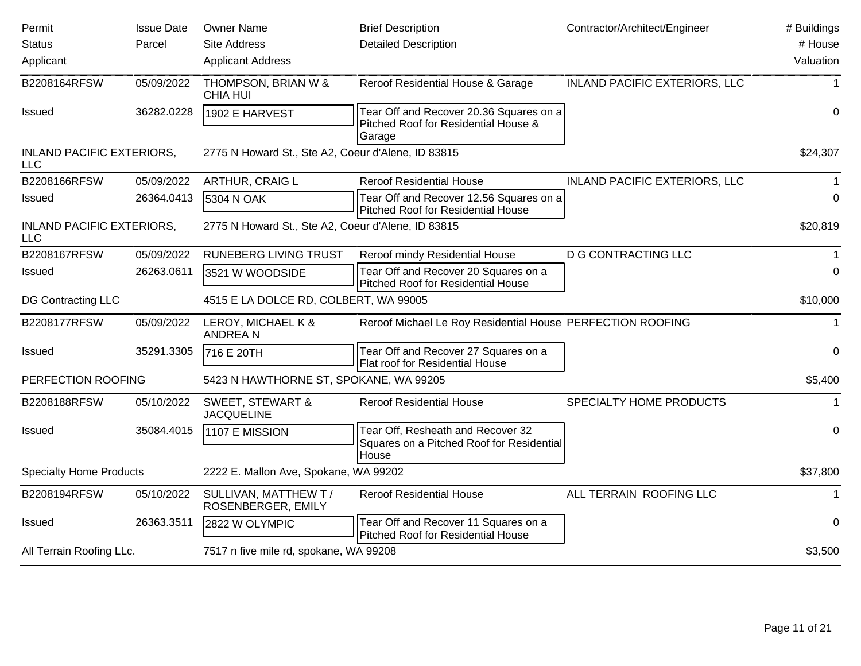| Permit                                         | <b>Issue Date</b> | <b>Owner Name</b>                                  | <b>Brief Description</b>                                                                  | Contractor/Architect/Engineer        | # Buildings  |
|------------------------------------------------|-------------------|----------------------------------------------------|-------------------------------------------------------------------------------------------|--------------------------------------|--------------|
| <b>Status</b>                                  | Parcel            | <b>Site Address</b>                                | <b>Detailed Description</b>                                                               |                                      | # House      |
| Applicant                                      |                   | <b>Applicant Address</b>                           |                                                                                           |                                      | Valuation    |
| B2208164RFSW                                   | 05/09/2022        | THOMPSON, BRIAN W &<br><b>CHIA HUI</b>             | Reroof Residential House & Garage                                                         | <b>INLAND PACIFIC EXTERIORS, LLC</b> | 1            |
| <b>Issued</b>                                  | 36282.0228        | 1902 E HARVEST                                     | Tear Off and Recover 20.36 Squares on a<br>Pitched Roof for Residential House &<br>Garage |                                      | 0            |
| <b>INLAND PACIFIC EXTERIORS,</b><br><b>LLC</b> |                   | 2775 N Howard St., Ste A2, Coeur d'Alene, ID 83815 |                                                                                           |                                      | \$24,307     |
| B2208166RFSW                                   | 05/09/2022        | ARTHUR, CRAIG L                                    | <b>Reroof Residential House</b>                                                           | <b>INLAND PACIFIC EXTERIORS, LLC</b> |              |
| <b>Issued</b>                                  | 26364.0413        | 5304 N OAK                                         | Tear Off and Recover 12.56 Squares on a<br><b>Pitched Roof for Residential House</b>      |                                      | 0            |
| <b>INLAND PACIFIC EXTERIORS,</b><br><b>LLC</b> |                   | 2775 N Howard St., Ste A2, Coeur d'Alene, ID 83815 |                                                                                           |                                      | \$20,819     |
| B2208167RFSW                                   | 05/09/2022        | <b>RUNEBERG LIVING TRUST</b>                       | Reroof mindy Residential House                                                            | <b>D G CONTRACTING LLC</b>           |              |
| <b>Issued</b>                                  | 26263.0611        | 3521 W WOODSIDE                                    | Tear Off and Recover 20 Squares on a<br><b>Pitched Roof for Residential House</b>         |                                      | 0            |
| DG Contracting LLC                             |                   | 4515 E LA DOLCE RD, COLBERT, WA 99005              |                                                                                           |                                      | \$10,000     |
| B2208177RFSW                                   | 05/09/2022        | LEROY, MICHAEL K &<br><b>ANDREAN</b>               | Reroof Michael Le Roy Residential House PERFECTION ROOFING                                |                                      | $\mathbf{1}$ |
| <b>Issued</b>                                  | 35291.3305        | 716 E 20TH                                         | Tear Off and Recover 27 Squares on a<br>Flat roof for Residential House                   |                                      | 0            |
| PERFECTION ROOFING                             |                   | 5423 N HAWTHORNE ST, SPOKANE, WA 99205             |                                                                                           |                                      | \$5,400      |
| B2208188RFSW                                   | 05/10/2022        | <b>SWEET, STEWART &amp;</b><br><b>JACQUELINE</b>   | <b>Reroof Residential House</b>                                                           | SPECIALTY HOME PRODUCTS              | $\mathbf{1}$ |
| <b>Issued</b>                                  | 35084.4015        | 1107 E MISSION                                     | Tear Off, Resheath and Recover 32<br>Squares on a Pitched Roof for Residential            |                                      | $\Omega$     |
| <b>Specialty Home Products</b>                 |                   | 2222 E. Mallon Ave, Spokane, WA 99202              | House                                                                                     |                                      | \$37,800     |
| B2208194RFSW                                   | 05/10/2022        | SULLIVAN, MATTHEW T /<br>ROSENBERGER, EMILY        | <b>Reroof Residential House</b>                                                           | ALL TERRAIN ROOFING LLC              | 1            |
| <b>Issued</b>                                  | 26363.3511        | 2822 W OLYMPIC                                     | Tear Off and Recover 11 Squares on a<br>Pitched Roof for Residential House                |                                      | $\Omega$     |
| All Terrain Roofing LLc.                       |                   | 7517 n five mile rd, spokane, WA 99208             |                                                                                           |                                      | \$3,500      |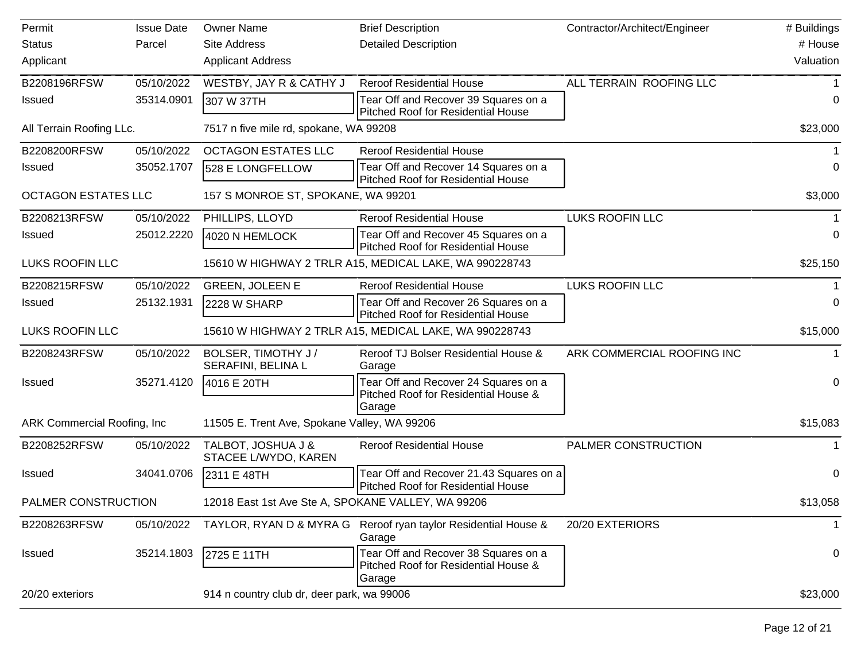| Permit                             | <b>Issue Date</b> | <b>Owner Name</b>                                  | <b>Brief Description</b>                                                               | Contractor/Architect/Engineer | # Buildings  |
|------------------------------------|-------------------|----------------------------------------------------|----------------------------------------------------------------------------------------|-------------------------------|--------------|
| <b>Status</b>                      | Parcel            | <b>Site Address</b>                                | <b>Detailed Description</b>                                                            |                               | # House      |
| Applicant                          |                   | <b>Applicant Address</b>                           |                                                                                        |                               | Valuation    |
| B2208196RFSW                       | 05/10/2022        | WESTBY, JAY R & CATHY J                            | <b>Reroof Residential House</b>                                                        | ALL TERRAIN ROOFING LLC       |              |
| <b>Issued</b>                      | 35314.0901        | 307 W 37TH                                         | Tear Off and Recover 39 Squares on a<br>Pitched Roof for Residential House             |                               | 0            |
| All Terrain Roofing LLc.           |                   | 7517 n five mile rd, spokane, WA 99208             |                                                                                        |                               | \$23,000     |
| B2208200RFSW                       | 05/10/2022        | <b>OCTAGON ESTATES LLC</b>                         | <b>Reroof Residential House</b>                                                        |                               |              |
| <b>Issued</b>                      | 35052.1707        | 528 E LONGFELLOW                                   | Tear Off and Recover 14 Squares on a<br><b>Pitched Roof for Residential House</b>      |                               | $\Omega$     |
| <b>OCTAGON ESTATES LLC</b>         |                   | 157 S MONROE ST, SPOKANE, WA 99201                 |                                                                                        |                               | \$3,000      |
| B2208213RFSW                       | 05/10/2022        | PHILLIPS, LLOYD                                    | <b>Reroof Residential House</b>                                                        | <b>LUKS ROOFIN LLC</b>        |              |
| <b>Issued</b>                      | 25012.2220        | 4020 N HEMLOCK                                     | Tear Off and Recover 45 Squares on a<br>Pitched Roof for Residential House             |                               | 0            |
| <b>LUKS ROOFIN LLC</b>             |                   |                                                    | 15610 W HIGHWAY 2 TRLR A15, MEDICAL LAKE, WA 990228743                                 |                               | \$25,150     |
| B2208215RFSW                       | 05/10/2022        | <b>GREEN, JOLEEN E</b>                             | <b>Reroof Residential House</b>                                                        | <b>LUKS ROOFIN LLC</b>        |              |
| <b>Issued</b>                      | 25132.1931        | 2228 W SHARP                                       | Tear Off and Recover 26 Squares on a<br>Pitched Roof for Residential House             |                               | 0            |
| <b>LUKS ROOFIN LLC</b>             |                   |                                                    | 15610 W HIGHWAY 2 TRLR A15, MEDICAL LAKE, WA 990228743                                 |                               | \$15,000     |
| B2208243RFSW                       | 05/10/2022        | BOLSER, TIMOTHY J/<br>SERAFINI, BELINA L           | Reroof TJ Bolser Residential House &<br>Garage                                         | ARK COMMERCIAL ROOFING INC    |              |
| <b>Issued</b>                      | 35271.4120        | 4016 E 20TH                                        | Tear Off and Recover 24 Squares on a<br>Pitched Roof for Residential House &<br>Garage |                               | $\pmb{0}$    |
| <b>ARK Commercial Roofing, Inc</b> |                   | 11505 E. Trent Ave, Spokane Valley, WA 99206       |                                                                                        |                               | \$15,083     |
| B2208252RFSW                       | 05/10/2022        | TALBOT, JOSHUA J &<br>STACEE L/WYDO, KAREN         | <b>Reroof Residential House</b>                                                        | PALMER CONSTRUCTION           | 1            |
| <b>Issued</b>                      | 34041.0706        | 2311 E 48TH                                        | Tear Off and Recover 21.43 Squares on a<br><b>Pitched Roof for Residential House</b>   |                               | $\pmb{0}$    |
| PALMER CONSTRUCTION                |                   | 12018 East 1st Ave Ste A, SPOKANE VALLEY, WA 99206 |                                                                                        |                               | \$13,058     |
| B2208263RFSW                       | 05/10/2022        | TAYLOR, RYAN D & MYRA G                            | Reroof ryan taylor Residential House &<br>Garage                                       | 20/20 EXTERIORS               | $\mathbf{1}$ |
| <b>Issued</b>                      | 35214.1803        | 2725 E 11TH                                        | Tear Off and Recover 38 Squares on a<br>Pitched Roof for Residential House &<br>Garage |                               | 0            |
| 20/20 exteriors                    |                   | 914 n country club dr, deer park, wa 99006         |                                                                                        |                               | \$23,000     |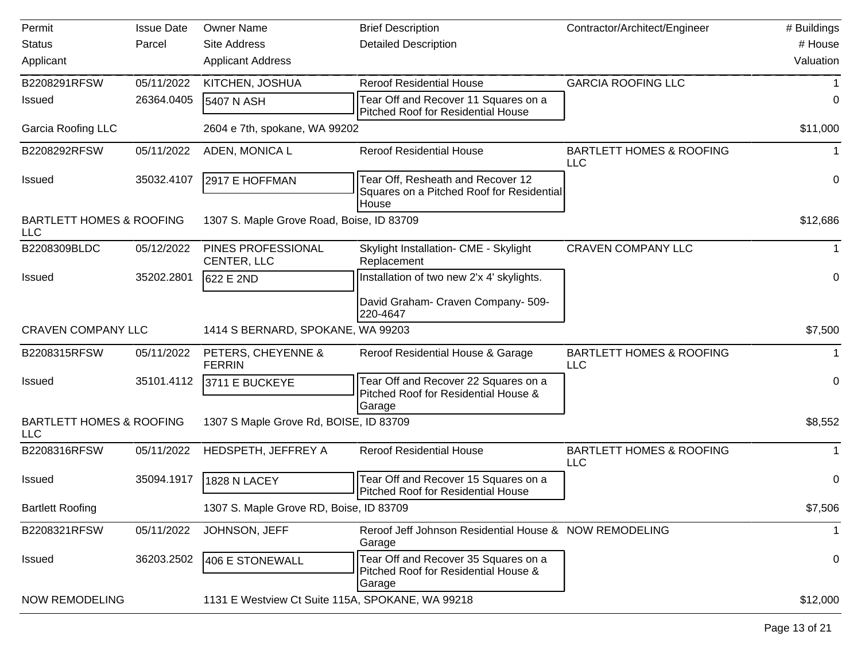| Permit                                            | <b>Issue Date</b> | <b>Owner Name</b>                                | <b>Brief Description</b>                                                                | Contractor/Architect/Engineer                     | # Buildings |
|---------------------------------------------------|-------------------|--------------------------------------------------|-----------------------------------------------------------------------------------------|---------------------------------------------------|-------------|
| <b>Status</b>                                     | Parcel            | <b>Site Address</b>                              | <b>Detailed Description</b>                                                             |                                                   | # House     |
| Applicant                                         |                   | <b>Applicant Address</b>                         |                                                                                         |                                                   | Valuation   |
| B2208291RFSW                                      | 05/11/2022        | KITCHEN, JOSHUA                                  | <b>Reroof Residential House</b>                                                         | <b>GARCIA ROOFING LLC</b>                         |             |
| Issued                                            | 26364.0405        | 5407 N ASH                                       | Tear Off and Recover 11 Squares on a<br><b>Pitched Roof for Residential House</b>       |                                                   | 0           |
| <b>Garcia Roofing LLC</b>                         |                   | 2604 e 7th, spokane, WA 99202                    |                                                                                         |                                                   | \$11,000    |
| B2208292RFSW                                      | 05/11/2022        | ADEN, MONICA L                                   | <b>Reroof Residential House</b>                                                         | <b>BARTLETT HOMES &amp; ROOFING</b><br><b>LLC</b> |             |
| <b>Issued</b>                                     | 35032.4107        | 2917 E HOFFMAN                                   | Tear Off, Resheath and Recover 12<br>Squares on a Pitched Roof for Residential<br>House |                                                   | 0           |
| <b>BARTLETT HOMES &amp; ROOFING</b><br><b>LLC</b> |                   | 1307 S. Maple Grove Road, Boise, ID 83709        |                                                                                         |                                                   | \$12,686    |
| B2208309BLDC                                      | 05/12/2022        | PINES PROFESSIONAL<br>CENTER, LLC                | Skylight Installation- CME - Skylight<br>Replacement                                    | <b>CRAVEN COMPANY LLC</b>                         |             |
| <b>Issued</b>                                     | 35202.2801        | 622 E 2ND                                        | Installation of two new 2'x 4' skylights.                                               |                                                   | 0           |
|                                                   |                   |                                                  | David Graham- Craven Company- 509-<br>220-4647                                          |                                                   |             |
| <b>CRAVEN COMPANY LLC</b>                         |                   | 1414 S BERNARD, SPOKANE, WA 99203                |                                                                                         |                                                   | \$7,500     |
| B2208315RFSW                                      | 05/11/2022        | PETERS, CHEYENNE &<br><b>FERRIN</b>              | Reroof Residential House & Garage                                                       | <b>BARTLETT HOMES &amp; ROOFING</b><br><b>LLC</b> |             |
| <b>Issued</b>                                     | 35101.4112        | 3711 E BUCKEYE                                   | Tear Off and Recover 22 Squares on a<br>Pitched Roof for Residential House &<br>Garage  |                                                   | 0           |
| <b>BARTLETT HOMES &amp; ROOFING</b><br><b>LLC</b> |                   | 1307 S Maple Grove Rd, BOISE, ID 83709           |                                                                                         |                                                   | \$8,552     |
| B2208316RFSW                                      | 05/11/2022        | HEDSPETH, JEFFREY A                              | <b>Reroof Residential House</b>                                                         | <b>BARTLETT HOMES &amp; ROOFING</b><br><b>LLC</b> |             |
| <b>Issued</b>                                     | 35094.1917        | 1828 N LACEY                                     | Tear Off and Recover 15 Squares on a<br><b>Pitched Roof for Residential House</b>       |                                                   | 0           |
| <b>Bartlett Roofing</b>                           |                   | 1307 S. Maple Grove RD, Boise, ID 83709          |                                                                                         |                                                   | \$7,506     |
| B2208321RFSW                                      | 05/11/2022        | JOHNSON, JEFF                                    | Reroof Jeff Johnson Residential House & NOW REMODELING<br>Garage                        |                                                   | 1           |
| <b>Issued</b>                                     | 36203.2502        | 406 E STONEWALL                                  | Tear Off and Recover 35 Squares on a<br>Pitched Roof for Residential House &<br>Garage  |                                                   | 0           |
| <b>NOW REMODELING</b>                             |                   | 1131 E Westview Ct Suite 115A, SPOKANE, WA 99218 |                                                                                         |                                                   | \$12,000    |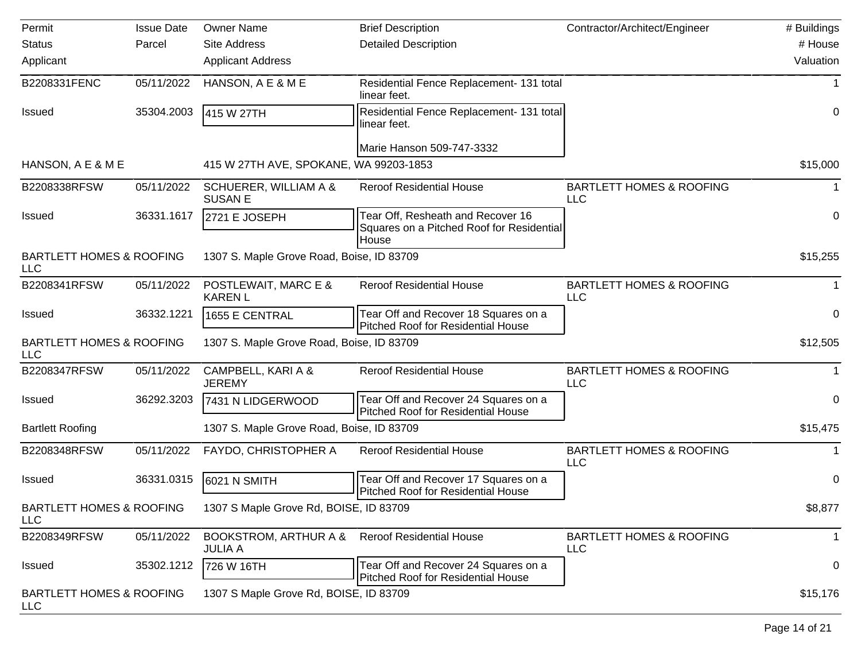| Permit                                            | <b>Issue Date</b> | <b>Owner Name</b>                         | <b>Brief Description</b>                                                                | Contractor/Architect/Engineer                     | # Buildings      |
|---------------------------------------------------|-------------------|-------------------------------------------|-----------------------------------------------------------------------------------------|---------------------------------------------------|------------------|
| <b>Status</b>                                     | Parcel            | <b>Site Address</b>                       | <b>Detailed Description</b>                                                             |                                                   | # House          |
| Applicant                                         |                   | <b>Applicant Address</b>                  |                                                                                         |                                                   | Valuation        |
| B2208331FENC                                      | 05/11/2022        | HANSON, A E & M E                         | Residential Fence Replacement- 131 total<br>linear feet.                                |                                                   | -1               |
| <b>Issued</b>                                     | 35304.2003        | 415 W 27TH                                | Residential Fence Replacement- 131 total<br>linear feet.                                |                                                   | 0                |
|                                                   |                   |                                           | Marie Hanson 509-747-3332                                                               |                                                   |                  |
| HANSON, A E & M E                                 |                   | 415 W 27TH AVE, SPOKANE, WA 99203-1853    |                                                                                         |                                                   | \$15,000         |
| B2208338RFSW                                      | 05/11/2022        | SCHUERER, WILLIAM A &<br><b>SUSAN E</b>   | <b>Reroof Residential House</b>                                                         | <b>BARTLETT HOMES &amp; ROOFING</b><br><b>LLC</b> |                  |
| <b>Issued</b>                                     | 36331.1617        | 2721 E JOSEPH                             | Tear Off, Resheath and Recover 16<br>Squares on a Pitched Roof for Residential<br>House |                                                   | $\mathbf 0$      |
| <b>BARTLETT HOMES &amp; ROOFING</b><br><b>LLC</b> |                   | 1307 S. Maple Grove Road, Boise, ID 83709 |                                                                                         |                                                   | \$15,255         |
| B2208341RFSW                                      | 05/11/2022        | POSTLEWAIT, MARC E &<br><b>KAREN L</b>    | <b>Reroof Residential House</b>                                                         | <b>BARTLETT HOMES &amp; ROOFING</b><br><b>LLC</b> |                  |
| <b>Issued</b>                                     | 36332.1221        | 1655 E CENTRAL                            | Tear Off and Recover 18 Squares on a<br><b>Pitched Roof for Residential House</b>       |                                                   | 0                |
| <b>BARTLETT HOMES &amp; ROOFING</b><br><b>LLC</b> |                   | 1307 S. Maple Grove Road, Boise, ID 83709 |                                                                                         |                                                   | \$12,505         |
| B2208347RFSW                                      | 05/11/2022        | CAMPBELL, KARI A &<br><b>JEREMY</b>       | <b>Reroof Residential House</b>                                                         | <b>BARTLETT HOMES &amp; ROOFING</b><br><b>LLC</b> |                  |
| Issued                                            | 36292.3203        | 7431 N LIDGERWOOD                         | Tear Off and Recover 24 Squares on a<br><b>Pitched Roof for Residential House</b>       |                                                   | 0                |
| <b>Bartlett Roofing</b>                           |                   | 1307 S. Maple Grove Road, Boise, ID 83709 |                                                                                         |                                                   | \$15,475         |
| B2208348RFSW                                      | 05/11/2022        | FAYDO, CHRISTOPHER A                      | <b>Reroof Residential House</b>                                                         | <b>BARTLETT HOMES &amp; ROOFING</b><br><b>LLC</b> |                  |
| <b>Issued</b>                                     | 36331.0315        | 6021 N SMITH                              | Tear Off and Recover 17 Squares on a<br>Pitched Roof for Residential House              |                                                   | 0                |
| <b>BARTLETT HOMES &amp; ROOFING</b><br><b>LLC</b> |                   | 1307 S Maple Grove Rd, BOISE, ID 83709    |                                                                                         |                                                   | \$8,877          |
| B2208349RFSW                                      | 05/11/2022        | BOOKSTROM, ARTHUR A &<br><b>JULIA A</b>   | <b>Reroof Residential House</b>                                                         | <b>BARTLETT HOMES &amp; ROOFING</b><br><b>LLC</b> | $\mathbf{1}$     |
| Issued                                            | 35302.1212        | 726 W 16TH                                | Tear Off and Recover 24 Squares on a<br><b>Pitched Roof for Residential House</b>       |                                                   | $\boldsymbol{0}$ |
| <b>BARTLETT HOMES &amp; ROOFING</b><br><b>LLC</b> |                   | 1307 S Maple Grove Rd, BOISE, ID 83709    |                                                                                         |                                                   | \$15,176         |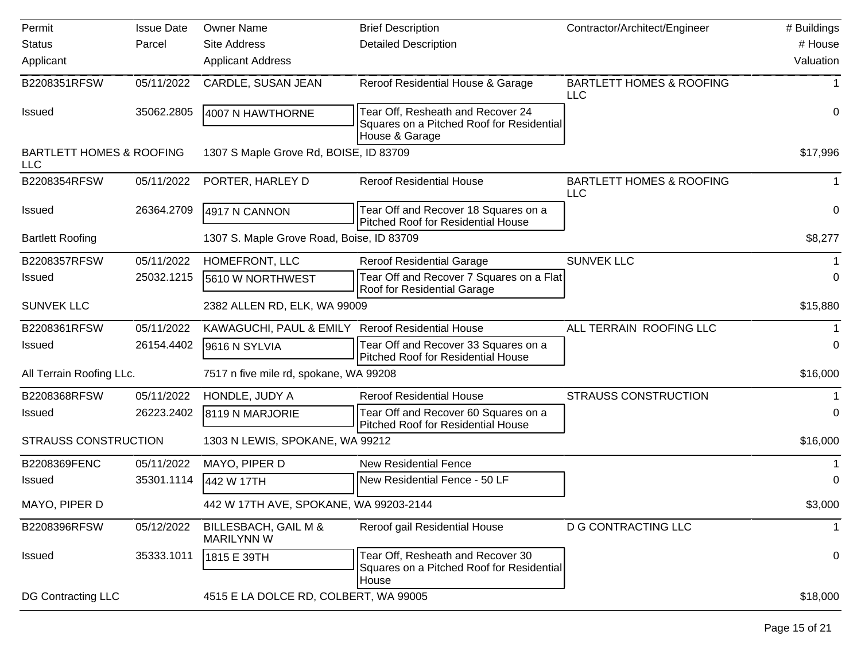| Permit                                            | <b>Issue Date</b> | <b>Owner Name</b>                         | <b>Brief Description</b>                                                                         | Contractor/Architect/Engineer                     | # Buildings |
|---------------------------------------------------|-------------------|-------------------------------------------|--------------------------------------------------------------------------------------------------|---------------------------------------------------|-------------|
| <b>Status</b>                                     | Parcel            | <b>Site Address</b>                       | <b>Detailed Description</b>                                                                      |                                                   | # House     |
| Applicant                                         |                   | <b>Applicant Address</b>                  |                                                                                                  |                                                   | Valuation   |
| B2208351RFSW                                      | 05/11/2022        | CARDLE, SUSAN JEAN                        | Reroof Residential House & Garage                                                                | <b>BARTLETT HOMES &amp; ROOFING</b><br><b>LLC</b> |             |
| <b>Issued</b>                                     | 35062.2805        | 4007 N HAWTHORNE                          | Tear Off, Resheath and Recover 24<br>Squares on a Pitched Roof for Residential<br>House & Garage |                                                   | 0           |
| <b>BARTLETT HOMES &amp; ROOFING</b><br><b>LLC</b> |                   | 1307 S Maple Grove Rd, BOISE, ID 83709    |                                                                                                  |                                                   | \$17,996    |
| B2208354RFSW                                      | 05/11/2022        | PORTER, HARLEY D                          | <b>Reroof Residential House</b>                                                                  | <b>BARTLETT HOMES &amp; ROOFING</b><br>LLC        |             |
| <b>Issued</b>                                     | 26364.2709        | 4917 N CANNON                             | Tear Off and Recover 18 Squares on a<br><b>Pitched Roof for Residential House</b>                |                                                   | 0           |
| <b>Bartlett Roofing</b>                           |                   | 1307 S. Maple Grove Road, Boise, ID 83709 |                                                                                                  |                                                   | \$8,277     |
| B2208357RFSW                                      | 05/11/2022        | HOMEFRONT, LLC                            | <b>Reroof Residential Garage</b>                                                                 | <b>SUNVEK LLC</b>                                 |             |
| Issued                                            | 25032.1215        | 5610 W NORTHWEST                          | Tear Off and Recover 7 Squares on a Flat<br>Roof for Residential Garage                          |                                                   | 0           |
| <b>SUNVEK LLC</b>                                 |                   | 2382 ALLEN RD, ELK, WA 99009              |                                                                                                  |                                                   | \$15,880    |
| B2208361RFSW                                      | 05/11/2022        | KAWAGUCHI, PAUL & EMILY                   | <b>Reroof Residential House</b>                                                                  | ALL TERRAIN ROOFING LLC                           |             |
| <b>Issued</b>                                     | 26154.4402        | 9616 N SYLVIA                             | Tear Off and Recover 33 Squares on a<br>Pitched Roof for Residential House                       |                                                   | 0           |
| All Terrain Roofing LLc.                          |                   | 7517 n five mile rd, spokane, WA 99208    |                                                                                                  |                                                   | \$16,000    |
| B2208368RFSW                                      | 05/11/2022        | HONDLE, JUDY A                            | <b>Reroof Residential House</b>                                                                  | <b>STRAUSS CONSTRUCTION</b>                       |             |
| <b>Issued</b>                                     | 26223.2402        | 8119 N MARJORIE                           | Tear Off and Recover 60 Squares on a<br><b>Pitched Roof for Residential House</b>                |                                                   | 0           |
| <b>STRAUSS CONSTRUCTION</b>                       |                   | 1303 N LEWIS, SPOKANE, WA 99212           |                                                                                                  |                                                   | \$16,000    |
| B2208369FENC                                      | 05/11/2022        | MAYO, PIPER D                             | <b>New Residential Fence</b>                                                                     |                                                   |             |
| <b>Issued</b>                                     | 35301.1114        | 442 W 17TH                                | New Residential Fence - 50 LF                                                                    |                                                   | 0           |
| MAYO, PIPER D                                     |                   | 442 W 17TH AVE, SPOKANE, WA 99203-2144    |                                                                                                  |                                                   | \$3,000     |
| B2208396RFSW                                      | 05/12/2022        | BILLESBACH, GAIL M &<br><b>MARILYNN W</b> | Reroof gail Residential House                                                                    | <b>D G CONTRACTING LLC</b>                        | 1           |
| <b>Issued</b>                                     | 35333.1011        | 1815 E 39TH                               | Tear Off, Resheath and Recover 30<br>Squares on a Pitched Roof for Residential<br>House          |                                                   | 0           |
| <b>DG Contracting LLC</b>                         |                   | 4515 E LA DOLCE RD, COLBERT, WA 99005     |                                                                                                  |                                                   | \$18,000    |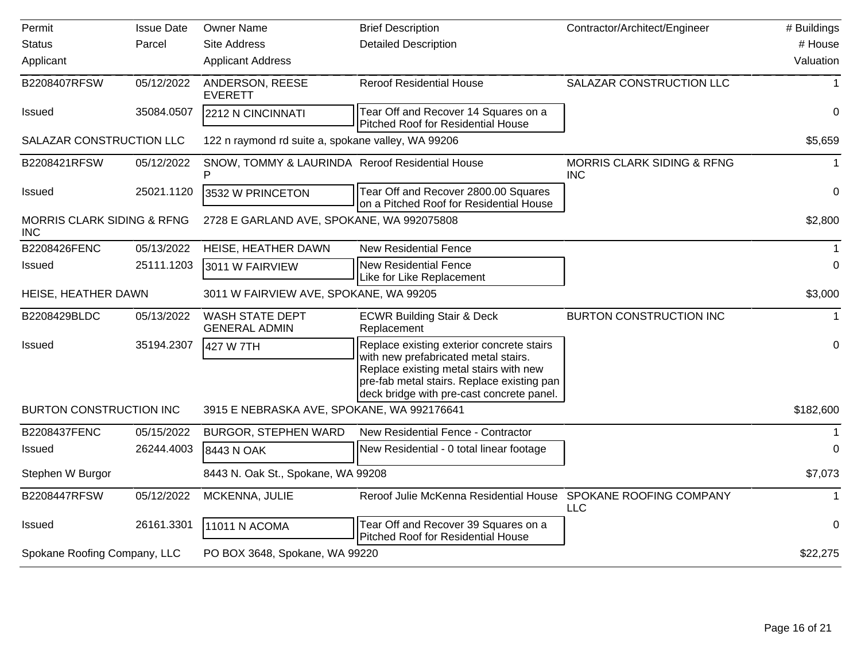| Permit                                              | <b>Issue Date</b> | <b>Owner Name</b>                                    | <b>Brief Description</b>                                                                                                                                                                                               | Contractor/Architect/Engineer                       | # Buildings |
|-----------------------------------------------------|-------------------|------------------------------------------------------|------------------------------------------------------------------------------------------------------------------------------------------------------------------------------------------------------------------------|-----------------------------------------------------|-------------|
| <b>Status</b>                                       | Parcel            | <b>Site Address</b>                                  | <b>Detailed Description</b>                                                                                                                                                                                            |                                                     | # House     |
| Applicant                                           |                   | <b>Applicant Address</b>                             |                                                                                                                                                                                                                        |                                                     | Valuation   |
| B2208407RFSW                                        | 05/12/2022        | ANDERSON, REESE<br><b>EVERETT</b>                    | <b>Reroof Residential House</b>                                                                                                                                                                                        | SALAZAR CONSTRUCTION LLC                            |             |
| <b>Issued</b>                                       | 35084.0507        | 2212 N CINCINNATI                                    | Tear Off and Recover 14 Squares on a<br>Pitched Roof for Residential House                                                                                                                                             |                                                     | 0           |
| SALAZAR CONSTRUCTION LLC                            |                   | 122 n raymond rd suite a, spokane valley, WA 99206   |                                                                                                                                                                                                                        |                                                     | \$5,659     |
| B2208421RFSW                                        | 05/12/2022        | SNOW, TOMMY & LAURINDA Reroof Residential House<br>P |                                                                                                                                                                                                                        | <b>MORRIS CLARK SIDING &amp; RFNG</b><br><b>INC</b> | 1           |
| <b>Issued</b>                                       | 25021.1120        | 3532 W PRINCETON                                     | Tear Off and Recover 2800.00 Squares<br>on a Pitched Roof for Residential House                                                                                                                                        |                                                     | $\mathbf 0$ |
| <b>MORRIS CLARK SIDING &amp; RFNG</b><br><b>INC</b> |                   | 2728 E GARLAND AVE, SPOKANE, WA 992075808            |                                                                                                                                                                                                                        |                                                     | \$2,800     |
| B2208426FENC                                        | 05/13/2022        | HEISE, HEATHER DAWN                                  | <b>New Residential Fence</b>                                                                                                                                                                                           |                                                     | -1          |
| Issued                                              | 25111.1203        | 3011 W FAIRVIEW                                      | <b>New Residential Fence</b><br>Like for Like Replacement                                                                                                                                                              |                                                     | 0           |
| HEISE, HEATHER DAWN                                 |                   | 3011 W FAIRVIEW AVE, SPOKANE, WA 99205               |                                                                                                                                                                                                                        |                                                     | \$3,000     |
| B2208429BLDC                                        | 05/13/2022        | WASH STATE DEPT<br><b>GENERAL ADMIN</b>              | <b>ECWR Building Stair &amp; Deck</b><br>Replacement                                                                                                                                                                   | <b>BURTON CONSTRUCTION INC</b>                      | $\mathbf 1$ |
| Issued                                              | 35194.2307        | 427 W 7TH                                            | Replace existing exterior concrete stairs<br>with new prefabricated metal stairs.<br>Replace existing metal stairs with new<br>pre-fab metal stairs. Replace existing pan<br>deck bridge with pre-cast concrete panel. |                                                     | 0           |
| <b>BURTON CONSTRUCTION INC</b>                      |                   | 3915 E NEBRASKA AVE, SPOKANE, WA 992176641           |                                                                                                                                                                                                                        |                                                     | \$182,600   |
| B2208437FENC                                        | 05/15/2022        | <b>BURGOR, STEPHEN WARD</b>                          | New Residential Fence - Contractor                                                                                                                                                                                     |                                                     | -1          |
| Issued                                              | 26244.4003        | 8443 N OAK                                           | New Residential - 0 total linear footage                                                                                                                                                                               |                                                     | $\Omega$    |
| Stephen W Burgor                                    |                   | 8443 N. Oak St., Spokane, WA 99208                   |                                                                                                                                                                                                                        |                                                     | \$7,073     |
| B2208447RFSW                                        | 05/12/2022        | MCKENNA, JULIE                                       | Reroof Julie McKenna Residential House                                                                                                                                                                                 | SPOKANE ROOFING COMPANY<br><b>LLC</b>               |             |
| <b>Issued</b>                                       | 26161.3301        | 11011 N ACOMA                                        | Tear Off and Recover 39 Squares on a<br>Pitched Roof for Residential House                                                                                                                                             |                                                     | 0           |
| Spokane Roofing Company, LLC                        |                   | PO BOX 3648, Spokane, WA 99220                       |                                                                                                                                                                                                                        |                                                     | \$22,275    |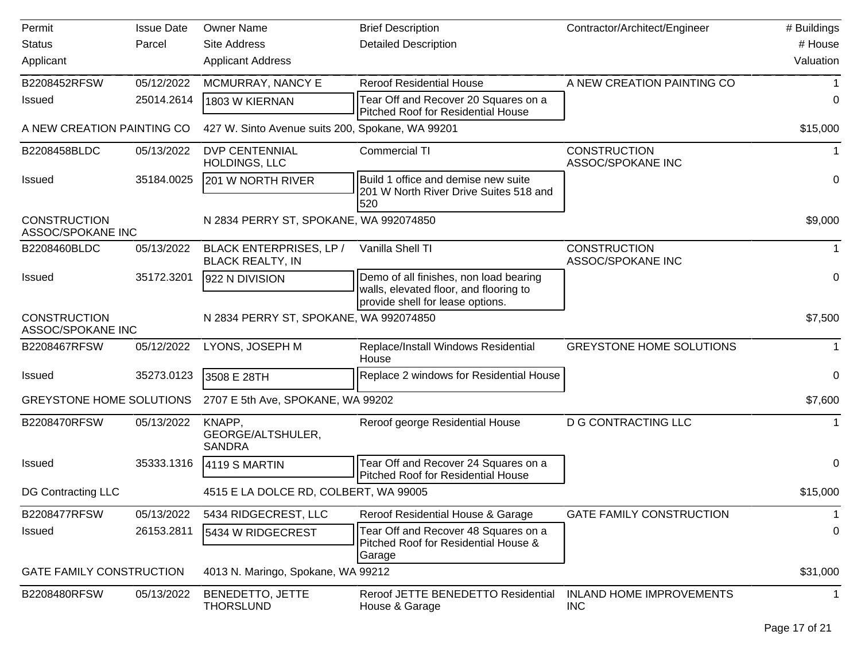| Permit                                   | <b>Issue Date</b> | <b>Owner Name</b>                                  | <b>Brief Description</b>                                                                                             | Contractor/Architect/Engineer                 | # Buildings |
|------------------------------------------|-------------------|----------------------------------------------------|----------------------------------------------------------------------------------------------------------------------|-----------------------------------------------|-------------|
| <b>Status</b>                            | Parcel            | <b>Site Address</b>                                | <b>Detailed Description</b>                                                                                          |                                               | # House     |
| Applicant                                |                   | <b>Applicant Address</b>                           |                                                                                                                      |                                               | Valuation   |
| B2208452RFSW                             | 05/12/2022        | MCMURRAY, NANCY E                                  | <b>Reroof Residential House</b>                                                                                      | A NEW CREATION PAINTING CO                    |             |
| <b>Issued</b>                            | 25014.2614        | 1803 W KIERNAN                                     | Tear Off and Recover 20 Squares on a<br>Pitched Roof for Residential House                                           |                                               | 0           |
| A NEW CREATION PAINTING CO               |                   | 427 W. Sinto Avenue suits 200, Spokane, WA 99201   |                                                                                                                      |                                               | \$15,000    |
| B2208458BLDC                             | 05/13/2022        | <b>DVP CENTENNIAL</b><br>HOLDINGS, LLC             | <b>Commercial TI</b>                                                                                                 | <b>CONSTRUCTION</b><br>ASSOC/SPOKANE INC      | 1           |
| <b>Issued</b>                            | 35184.0025        | 201 W NORTH RIVER                                  | Build 1 office and demise new suite<br>201 W North River Drive Suites 518 and<br>520                                 |                                               | 0           |
| <b>CONSTRUCTION</b><br>ASSOC/SPOKANE INC |                   | N 2834 PERRY ST, SPOKANE, WA 992074850             |                                                                                                                      |                                               | \$9,000     |
| B2208460BLDC                             | 05/13/2022        | BLACK ENTERPRISES, LP /<br><b>BLACK REALTY, IN</b> | Vanilla Shell TI                                                                                                     | <b>CONSTRUCTION</b><br>ASSOC/SPOKANE INC      |             |
| <b>Issued</b>                            | 35172.3201        | 922 N DIVISION                                     | Demo of all finishes, non load bearing<br>walls, elevated floor, and flooring to<br>provide shell for lease options. |                                               | 0           |
| <b>CONSTRUCTION</b><br>ASSOC/SPOKANE INC |                   | N 2834 PERRY ST, SPOKANE, WA 992074850             |                                                                                                                      |                                               | \$7,500     |
| B2208467RFSW                             | 05/12/2022        | LYONS, JOSEPH M                                    | Replace/Install Windows Residential<br>House                                                                         | <b>GREYSTONE HOME SOLUTIONS</b>               |             |
| <b>Issued</b>                            | 35273.0123        | 3508 E 28TH                                        | Replace 2 windows for Residential House                                                                              |                                               | 0           |
| <b>GREYSTONE HOME SOLUTIONS</b>          |                   | 2707 E 5th Ave, SPOKANE, WA 99202                  |                                                                                                                      |                                               | \$7,600     |
| B2208470RFSW                             | 05/13/2022        | KNAPP,<br>GEORGE/ALTSHULER,<br><b>SANDRA</b>       | Reroof george Residential House                                                                                      | <b>D G CONTRACTING LLC</b>                    |             |
| <b>Issued</b>                            | 35333.1316        | 4119 S MARTIN                                      | Tear Off and Recover 24 Squares on a<br>Pitched Roof for Residential House                                           |                                               | 0           |
| <b>DG Contracting LLC</b>                |                   | 4515 E LA DOLCE RD, COLBERT, WA 99005              |                                                                                                                      |                                               | \$15,000    |
| B2208477RFSW                             | 05/13/2022        | 5434 RIDGECREST, LLC                               | Reroof Residential House & Garage                                                                                    | <b>GATE FAMILY CONSTRUCTION</b>               | -1          |
| Issued                                   | 26153.2811        | 5434 W RIDGECREST                                  | Tear Off and Recover 48 Squares on a<br>Pitched Roof for Residential House &<br>Garage                               |                                               | 0           |
| <b>GATE FAMILY CONSTRUCTION</b>          |                   | 4013 N. Maringo, Spokane, WA 99212                 |                                                                                                                      |                                               | \$31,000    |
| B2208480RFSW                             | 05/13/2022        | BENEDETTO, JETTE<br><b>THORSLUND</b>               | Reroof JETTE BENEDETTO Residential<br>House & Garage                                                                 | <b>INLAND HOME IMPROVEMENTS</b><br><b>INC</b> | -1          |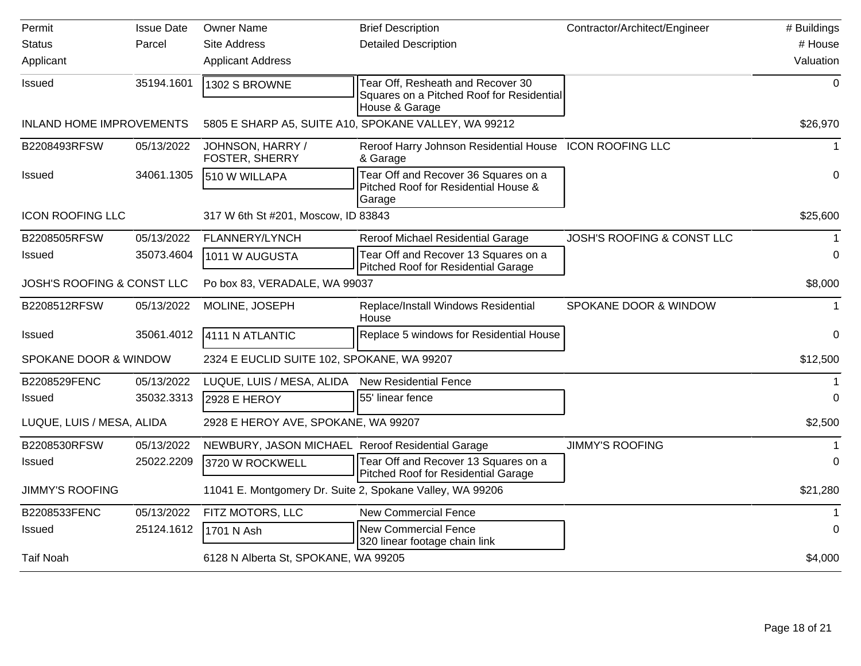| Permit                          | <b>Issue Date</b> | <b>Owner Name</b>                                         | <b>Brief Description</b>                                                                         | Contractor/Architect/Engineer         | # Buildings |
|---------------------------------|-------------------|-----------------------------------------------------------|--------------------------------------------------------------------------------------------------|---------------------------------------|-------------|
| <b>Status</b>                   | Parcel            | <b>Site Address</b>                                       | <b>Detailed Description</b>                                                                      |                                       | # House     |
| Applicant                       |                   | <b>Applicant Address</b>                                  |                                                                                                  |                                       | Valuation   |
| Issued                          | 35194.1601        | 1302 S BROWNE                                             | Tear Off, Resheath and Recover 30<br>Squares on a Pitched Roof for Residential<br>House & Garage |                                       | $\mathbf 0$ |
| <b>INLAND HOME IMPROVEMENTS</b> |                   |                                                           | 5805 E SHARP A5, SUITE A10, SPOKANE VALLEY, WA 99212                                             |                                       | \$26,970    |
| B2208493RFSW                    | 05/13/2022        | JOHNSON, HARRY /<br>FOSTER, SHERRY                        | Reroof Harry Johnson Residential House ICON ROOFING LLC<br>& Garage                              |                                       |             |
| <b>Issued</b>                   | 34061.1305        | 510 W WILLAPA                                             | Tear Off and Recover 36 Squares on a<br>Pitched Roof for Residential House &<br>Garage           |                                       | 0           |
| <b>ICON ROOFING LLC</b>         |                   | 317 W 6th St #201, Moscow, ID 83843                       |                                                                                                  |                                       | \$25,600    |
| B2208505RFSW                    | 05/13/2022        | FLANNERY/LYNCH                                            | Reroof Michael Residential Garage                                                                | <b>JOSH'S ROOFING &amp; CONST LLC</b> | $\mathbf 1$ |
| Issued                          | 35073.4604        | 1011 W AUGUSTA                                            | Tear Off and Recover 13 Squares on a<br><b>Pitched Roof for Residential Garage</b>               |                                       | 0           |
| JOSH'S ROOFING & CONST LLC      |                   | Po box 83, VERADALE, WA 99037                             |                                                                                                  |                                       | \$8,000     |
| B2208512RFSW                    | 05/13/2022        | MOLINE, JOSEPH                                            | Replace/Install Windows Residential<br>House                                                     | SPOKANE DOOR & WINDOW                 |             |
| <b>Issued</b>                   | 35061.4012        | 4111 N ATLANTIC                                           | Replace 5 windows for Residential House                                                          |                                       | 0           |
| SPOKANE DOOR & WINDOW           |                   | 2324 E EUCLID SUITE 102, SPOKANE, WA 99207                |                                                                                                  |                                       | \$12,500    |
| B2208529FENC                    | 05/13/2022        | LUQUE, LUIS / MESA, ALIDA                                 | <b>New Residential Fence</b>                                                                     |                                       |             |
| Issued                          | 35032.3313        | 2928 E HEROY                                              | 55' linear fence                                                                                 |                                       | 0           |
| LUQUE, LUIS / MESA, ALIDA       |                   | 2928 E HEROY AVE, SPOKANE, WA 99207                       |                                                                                                  |                                       | \$2,500     |
| B2208530RFSW                    | 05/13/2022        | NEWBURY, JASON MICHAEL Reroof Residential Garage          |                                                                                                  | <b>JIMMY'S ROOFING</b>                |             |
| Issued                          | 25022.2209        | 3720 W ROCKWELL                                           | Tear Off and Recover 13 Squares on a<br><b>Pitched Roof for Residential Garage</b>               |                                       | 0           |
| <b>JIMMY'S ROOFING</b>          |                   | 11041 E. Montgomery Dr. Suite 2, Spokane Valley, WA 99206 |                                                                                                  |                                       | \$21,280    |
| B2208533FENC                    | 05/13/2022        | FITZ MOTORS, LLC                                          | <b>New Commercial Fence</b>                                                                      |                                       |             |
| <b>Issued</b>                   | 25124.1612        | 1701 N Ash                                                | <b>New Commercial Fence</b><br>320 linear footage chain link                                     |                                       | $\Omega$    |
| <b>Taif Noah</b>                |                   | 6128 N Alberta St, SPOKANE, WA 99205                      |                                                                                                  |                                       | \$4,000     |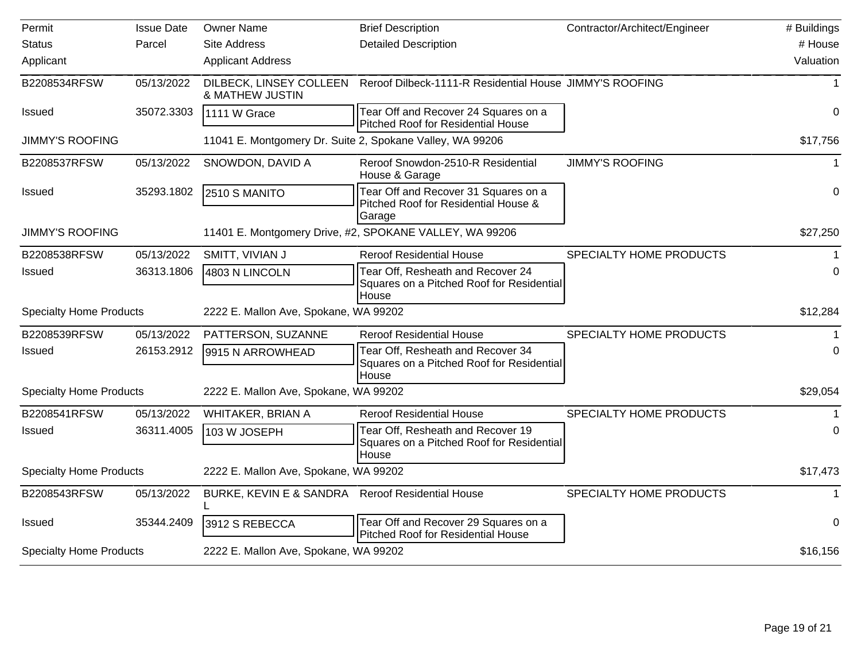| Permit                         | <b>Issue Date</b> | <b>Owner Name</b>                                | <b>Brief Description</b>                                                                | Contractor/Architect/Engineer | # Buildings |
|--------------------------------|-------------------|--------------------------------------------------|-----------------------------------------------------------------------------------------|-------------------------------|-------------|
| <b>Status</b>                  | Parcel            | <b>Site Address</b>                              | <b>Detailed Description</b>                                                             |                               | # House     |
| Applicant                      |                   | <b>Applicant Address</b>                         |                                                                                         |                               | Valuation   |
| B2208534RFSW                   | 05/13/2022        | DILBECK, LINSEY COLLEEN<br>& MATHEW JUSTIN       | Reroof Dilbeck-1111-R Residential House JIMMY'S ROOFING                                 |                               |             |
| Issued                         | 35072.3303        | 1111 W Grace                                     | Tear Off and Recover 24 Squares on a<br>Pitched Roof for Residential House              |                               | 0           |
| <b>JIMMY'S ROOFING</b>         |                   |                                                  | 11041 E. Montgomery Dr. Suite 2, Spokane Valley, WA 99206                               |                               | \$17,756    |
| B2208537RFSW                   | 05/13/2022        | SNOWDON, DAVID A                                 | Reroof Snowdon-2510-R Residential<br>House & Garage                                     | <b>JIMMY'S ROOFING</b>        |             |
| <b>Issued</b>                  | 35293.1802        | 2510 S MANITO                                    | Tear Off and Recover 31 Squares on a<br>Pitched Roof for Residential House &<br>Garage  |                               | $\mathbf 0$ |
| <b>JIMMY'S ROOFING</b>         |                   |                                                  | 11401 E. Montgomery Drive, #2, SPOKANE VALLEY, WA 99206                                 |                               | \$27,250    |
| B2208538RFSW                   | 05/13/2022        | SMITT, VIVIAN J                                  | <b>Reroof Residential House</b>                                                         | SPECIALTY HOME PRODUCTS       |             |
| <b>Issued</b>                  | 36313.1806        | 4803 N LINCOLN                                   | Tear Off, Resheath and Recover 24<br>Squares on a Pitched Roof for Residential<br>House |                               | 0           |
| <b>Specialty Home Products</b> |                   | 2222 E. Mallon Ave, Spokane, WA 99202            |                                                                                         |                               | \$12,284    |
| B2208539RFSW                   | 05/13/2022        | PATTERSON, SUZANNE                               | <b>Reroof Residential House</b>                                                         | SPECIALTY HOME PRODUCTS       |             |
| <b>Issued</b>                  | 26153.2912        | 9915 N ARROWHEAD                                 | Tear Off, Resheath and Recover 34<br>Squares on a Pitched Roof for Residential<br>House |                               | $\Omega$    |
| <b>Specialty Home Products</b> |                   | 2222 E. Mallon Ave, Spokane, WA 99202            |                                                                                         |                               | \$29,054    |
| B2208541RFSW                   | 05/13/2022        | WHITAKER, BRIAN A                                | <b>Reroof Residential House</b>                                                         | SPECIALTY HOME PRODUCTS       |             |
| <b>Issued</b>                  | 36311.4005        | 103 W JOSEPH                                     | Tear Off, Resheath and Recover 19<br>Squares on a Pitched Roof for Residential<br>House |                               | 0           |
| <b>Specialty Home Products</b> |                   | 2222 E. Mallon Ave, Spokane, WA 99202            |                                                                                         |                               | \$17,473    |
| B2208543RFSW                   | 05/13/2022        | BURKE, KEVIN E & SANDRA Reroof Residential House |                                                                                         | SPECIALTY HOME PRODUCTS       |             |
| <b>Issued</b>                  | 35344.2409        | 3912 S REBECCA                                   | Tear Off and Recover 29 Squares on a<br>Pitched Roof for Residential House              |                               | $\Omega$    |
| <b>Specialty Home Products</b> |                   | 2222 E. Mallon Ave, Spokane, WA 99202            |                                                                                         |                               | \$16,156    |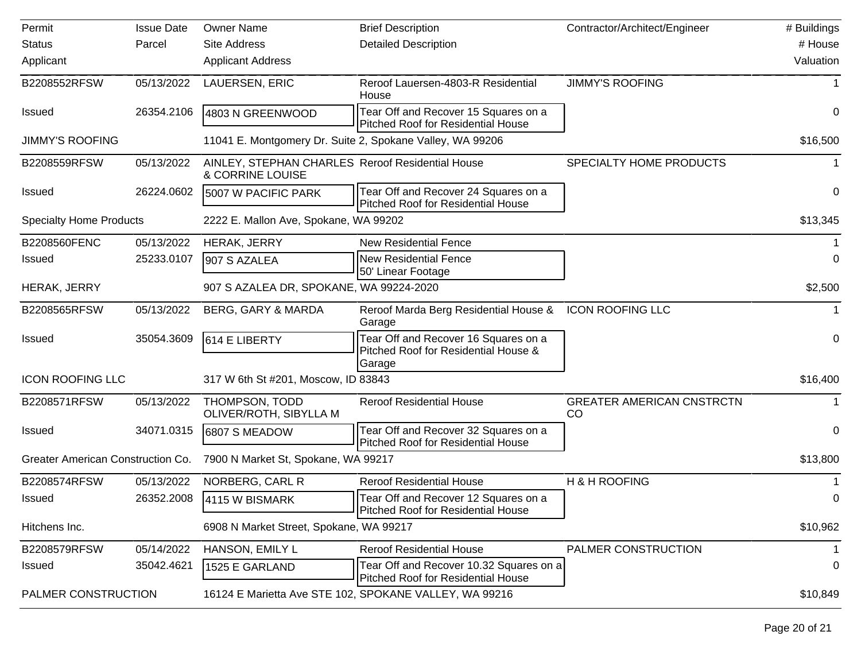| Permit                            | <b>Issue Date</b>                       | <b>Owner Name</b>                                                    | <b>Brief Description</b>                                                             | Contractor/Architect/Engineer          | # Buildings |
|-----------------------------------|-----------------------------------------|----------------------------------------------------------------------|--------------------------------------------------------------------------------------|----------------------------------------|-------------|
| <b>Status</b>                     | Parcel                                  | <b>Site Address</b>                                                  | <b>Detailed Description</b>                                                          |                                        | # House     |
| Applicant                         |                                         | <b>Applicant Address</b>                                             |                                                                                      |                                        | Valuation   |
| B2208552RFSW                      | 05/13/2022                              | LAUERSEN, ERIC                                                       | Reroof Lauersen-4803-R Residential<br>House                                          | <b>JIMMY'S ROOFING</b>                 |             |
| <b>Issued</b>                     | 26354.2106                              | 4803 N GREENWOOD                                                     | Tear Off and Recover 15 Squares on a<br><b>Pitched Roof for Residential House</b>    |                                        | 0           |
| <b>JIMMY'S ROOFING</b>            |                                         | 11041 E. Montgomery Dr. Suite 2, Spokane Valley, WA 99206            |                                                                                      |                                        | \$16,500    |
| B2208559RFSW                      | 05/13/2022                              | AINLEY, STEPHAN CHARLES Reroof Residential House<br>& CORRINE LOUISE |                                                                                      | SPECIALTY HOME PRODUCTS                |             |
| <b>Issued</b>                     | 26224.0602                              | 5007 W PACIFIC PARK                                                  | Tear Off and Recover 24 Squares on a<br><b>Pitched Roof for Residential House</b>    |                                        | 0           |
| <b>Specialty Home Products</b>    |                                         | 2222 E. Mallon Ave, Spokane, WA 99202                                |                                                                                      |                                        | \$13,345    |
| B2208560FENC                      | 05/13/2022                              | HERAK, JERRY                                                         | <b>New Residential Fence</b>                                                         |                                        |             |
| Issued                            | 25233.0107                              | 907 S AZALEA                                                         | <b>New Residential Fence</b><br>50' Linear Footage                                   |                                        | 0           |
| HERAK, JERRY                      | 907 S AZALEA DR, SPOKANE, WA 99224-2020 |                                                                      |                                                                                      | \$2,500                                |             |
| B2208565RFSW                      | 05/13/2022                              | <b>BERG, GARY &amp; MARDA</b>                                        | Reroof Marda Berg Residential House &<br>Garage                                      | <b>ICON ROOFING LLC</b>                | 1           |
| <b>Issued</b>                     | 35054.3609                              | 614 E LIBERTY                                                        | Tear Off and Recover 16 Squares on a<br>Pitched Roof for Residential House &         |                                        | 0           |
| <b>ICON ROOFING LLC</b>           |                                         | 317 W 6th St #201, Moscow, ID 83843                                  | Garage                                                                               |                                        | \$16,400    |
| B2208571RFSW                      | 05/13/2022                              | THOMPSON, TODD<br>OLIVER/ROTH, SIBYLLA M                             | <b>Reroof Residential House</b>                                                      | <b>GREATER AMERICAN CNSTRCTN</b><br>CO | 1           |
| <b>Issued</b>                     | 34071.0315                              | 6807 S MEADOW                                                        | Tear Off and Recover 32 Squares on a<br><b>Pitched Roof for Residential House</b>    |                                        | 0           |
| Greater American Construction Co. |                                         | 7900 N Market St, Spokane, WA 99217                                  |                                                                                      |                                        | \$13,800    |
| B2208574RFSW                      | 05/13/2022                              | NORBERG, CARL R                                                      | <b>Reroof Residential House</b>                                                      | H & H ROOFING                          |             |
| <b>Issued</b>                     | 26352.2008                              | 4115 W BISMARK                                                       | Tear Off and Recover 12 Squares on a<br>Pitched Roof for Residential House           |                                        | 0           |
| Hitchens Inc.                     |                                         | 6908 N Market Street, Spokane, WA 99217                              |                                                                                      |                                        | \$10,962    |
| B2208579RFSW                      | 05/14/2022                              | HANSON, EMILY L                                                      | <b>Reroof Residential House</b>                                                      | PALMER CONSTRUCTION                    |             |
| Issued                            | 35042.4621                              | 1525 E GARLAND                                                       | Tear Off and Recover 10.32 Squares on a<br><b>Pitched Roof for Residential House</b> |                                        | 0           |
| PALMER CONSTRUCTION               |                                         |                                                                      | 16124 E Marietta Ave STE 102, SPOKANE VALLEY, WA 99216                               |                                        | \$10,849    |